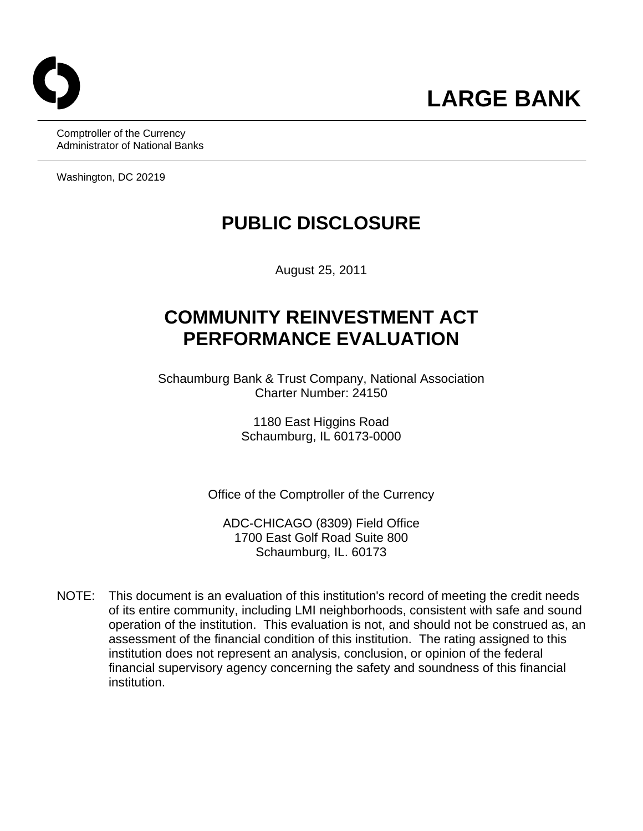Comptroller of the Currency Administrator of National Banks

Washington, DC 20219

# **PUBLIC DISCLOSURE**

August 25, 2011

## **COMMUNITY REINVESTMENT ACT PERFORMANCE EVALUATION**

Schaumburg Bank & Trust Company, National Association Charter Number: 24150

> 1180 East Higgins Road Schaumburg, IL 60173-0000

Office of the Comptroller of the Currency

ADC-CHICAGO (8309) Field Office 1700 East Golf Road Suite 800 Schaumburg, IL. 60173

NOTE: This document is an evaluation of this institution's record of meeting the credit needs of its entire community, including LMI neighborhoods, consistent with safe and sound operation of the institution. This evaluation is not, and should not be construed as, an assessment of the financial condition of this institution. The rating assigned to this institution does not represent an analysis, conclusion, or opinion of the federal financial supervisory agency concerning the safety and soundness of this financial institution.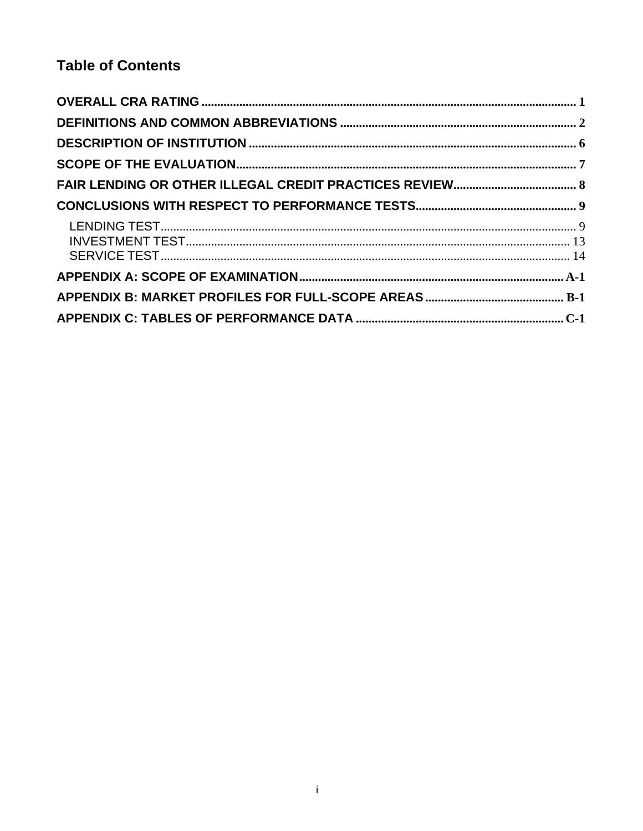### **Table of Contents**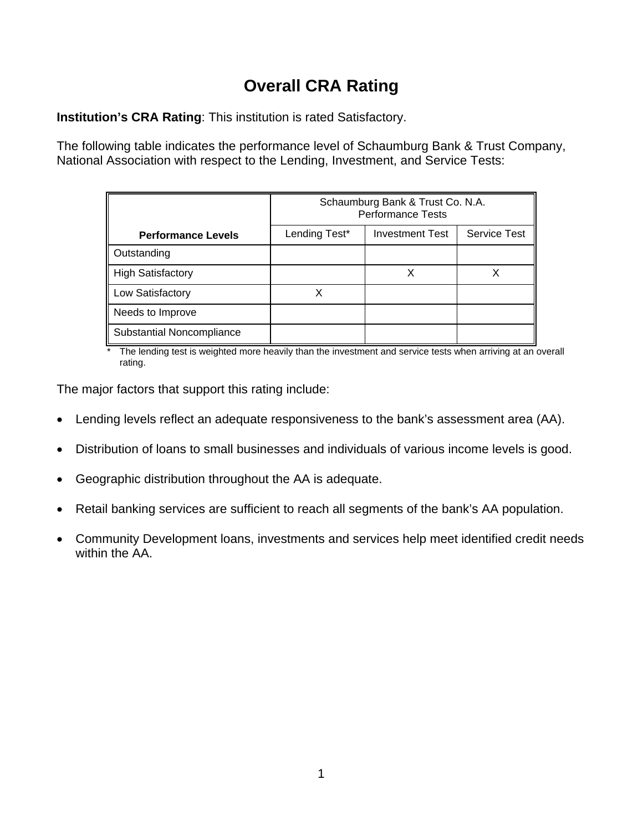## **Overall CRA Rating**

**Institution's CRA Rating**: This institution is rated Satisfactory.

The following table indicates the performance level of Schaumburg Bank & Trust Company, National Association with respect to the Lending, Investment, and Service Tests:

|                           | Schaumburg Bank & Trust Co. N.A.<br><b>Performance Tests</b> |                        |                     |  |  |  |  |  |  |  |
|---------------------------|--------------------------------------------------------------|------------------------|---------------------|--|--|--|--|--|--|--|
| <b>Performance Levels</b> | Lending Test*                                                | <b>Investment Test</b> | <b>Service Test</b> |  |  |  |  |  |  |  |
| Outstanding               |                                                              |                        |                     |  |  |  |  |  |  |  |
| <b>High Satisfactory</b>  |                                                              |                        |                     |  |  |  |  |  |  |  |
| Low Satisfactory          |                                                              |                        |                     |  |  |  |  |  |  |  |
| Needs to Improve          |                                                              |                        |                     |  |  |  |  |  |  |  |
| Substantial Noncompliance |                                                              |                        |                     |  |  |  |  |  |  |  |

The lending test is weighted more heavily than the investment and service tests when arriving at an overall rating.

The major factors that support this rating include:

- Lending levels reflect an adequate responsiveness to the bank's assessment area (AA).
- Distribution of loans to small businesses and individuals of various income levels is good.
- Geographic distribution throughout the AA is adequate.
- Retail banking services are sufficient to reach all segments of the bank's AA population.
- Community Development loans, investments and services help meet identified credit needs within the AA.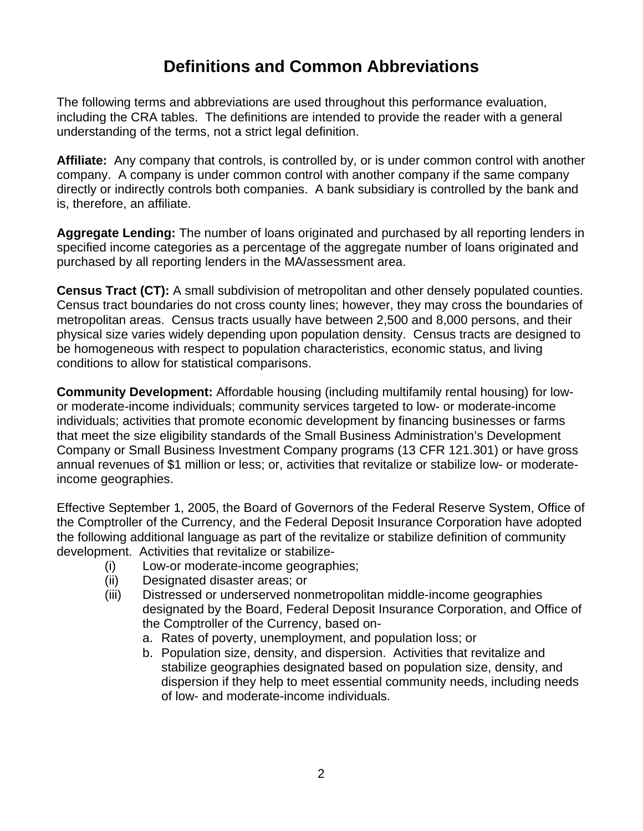## **Definitions and Common Abbreviations**

<span id="page-3-0"></span>The following terms and abbreviations are used throughout this performance evaluation, including the CRA tables. The definitions are intended to provide the reader with a general understanding of the terms, not a strict legal definition.

**Affiliate:** Any company that controls, is controlled by, or is under common control with another company. A company is under common control with another company if the same company directly or indirectly controls both companies. A bank subsidiary is controlled by the bank and is, therefore, an affiliate.

**Aggregate Lending:** The number of loans originated and purchased by all reporting lenders in specified income categories as a percentage of the aggregate number of loans originated and purchased by all reporting lenders in the MA/assessment area.

**Census Tract (CT):** A small subdivision of metropolitan and other densely populated counties. Census tract boundaries do not cross county lines; however, they may cross the boundaries of metropolitan areas. Census tracts usually have between 2,500 and 8,000 persons, and their physical size varies widely depending upon population density. Census tracts are designed to be homogeneous with respect to population characteristics, economic status, and living conditions to allow for statistical comparisons.

**Community Development:** Affordable housing (including multifamily rental housing) for lowor moderate-income individuals; community services targeted to low- or moderate-income individuals; activities that promote economic development by financing businesses or farms that meet the size eligibility standards of the Small Business Administration's Development Company or Small Business Investment Company programs (13 CFR 121.301) or have gross annual revenues of \$1 million or less; or, activities that revitalize or stabilize low- or moderateincome geographies.

Effective September 1, 2005, the Board of Governors of the Federal Reserve System, Office of the Comptroller of the Currency, and the Federal Deposit Insurance Corporation have adopted the following additional language as part of the revitalize or stabilize definition of community development. Activities that revitalize or stabilize-

- (i) Low-or moderate-income geographies;
- (ii) Designated disaster areas; or
- (iii) Distressed or underserved nonmetropolitan middle-income geographies designated by the Board, Federal Deposit Insurance Corporation, and Office of the Comptroller of the Currency, based on
	- a. Rates of poverty, unemployment, and population loss; or
	- b. Population size, density, and dispersion. Activities that revitalize and stabilize geographies designated based on population size, density, and dispersion if they help to meet essential community needs, including needs of low- and moderate-income individuals.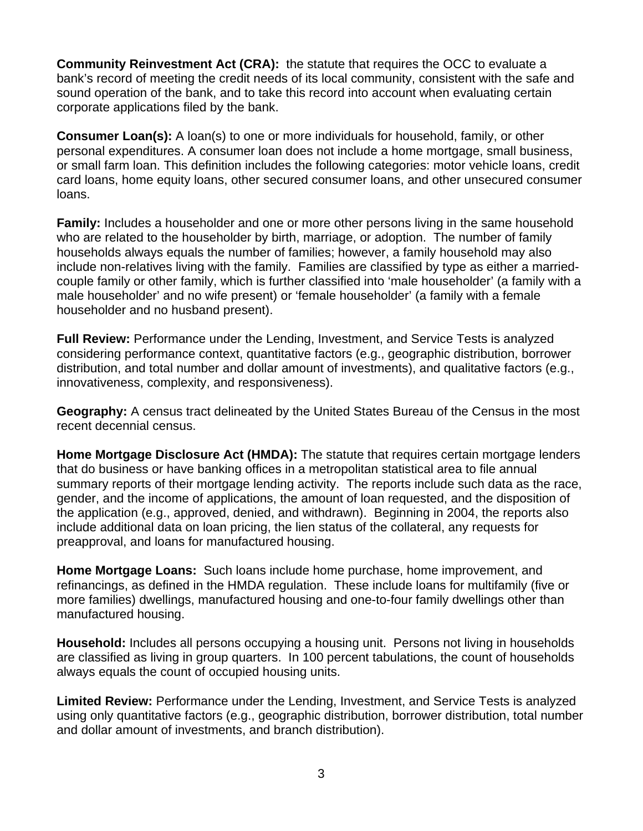**Community Reinvestment Act (CRA):** the statute that requires the OCC to evaluate a bank's record of meeting the credit needs of its local community, consistent with the safe and sound operation of the bank, and to take this record into account when evaluating certain corporate applications filed by the bank.

**Consumer Loan(s):** A loan(s) to one or more individuals for household, family, or other personal expenditures. A consumer loan does not include a home mortgage, small business, or small farm loan. This definition includes the following categories: motor vehicle loans, credit card loans, home equity loans, other secured consumer loans, and other unsecured consumer loans.

**Family:** Includes a householder and one or more other persons living in the same household who are related to the householder by birth, marriage, or adoption. The number of family households always equals the number of families; however, a family household may also include non-relatives living with the family. Families are classified by type as either a marriedcouple family or other family, which is further classified into 'male householder' (a family with a male householder' and no wife present) or 'female householder' (a family with a female householder and no husband present).

**Full Review:** Performance under the Lending, Investment, and Service Tests is analyzed considering performance context, quantitative factors (e.g., geographic distribution, borrower distribution, and total number and dollar amount of investments), and qualitative factors (e.g., innovativeness, complexity, and responsiveness).

**Geography:** A census tract delineated by the United States Bureau of the Census in the most recent decennial census.

**Home Mortgage Disclosure Act (HMDA):** The statute that requires certain mortgage lenders that do business or have banking offices in a metropolitan statistical area to file annual summary reports of their mortgage lending activity. The reports include such data as the race, gender, and the income of applications, the amount of loan requested, and the disposition of the application (e.g., approved, denied, and withdrawn). Beginning in 2004, the reports also include additional data on loan pricing, the lien status of the collateral, any requests for preapproval, and loans for manufactured housing.

**Home Mortgage Loans:** Such loans include home purchase, home improvement, and refinancings, as defined in the HMDA regulation. These include loans for multifamily (five or more families) dwellings, manufactured housing and one-to-four family dwellings other than manufactured housing.

**Household:** Includes all persons occupying a housing unit. Persons not living in households are classified as living in group quarters. In 100 percent tabulations, the count of households always equals the count of occupied housing units.

**Limited Review:** Performance under the Lending, Investment, and Service Tests is analyzed using only quantitative factors (e.g., geographic distribution, borrower distribution, total number and dollar amount of investments, and branch distribution).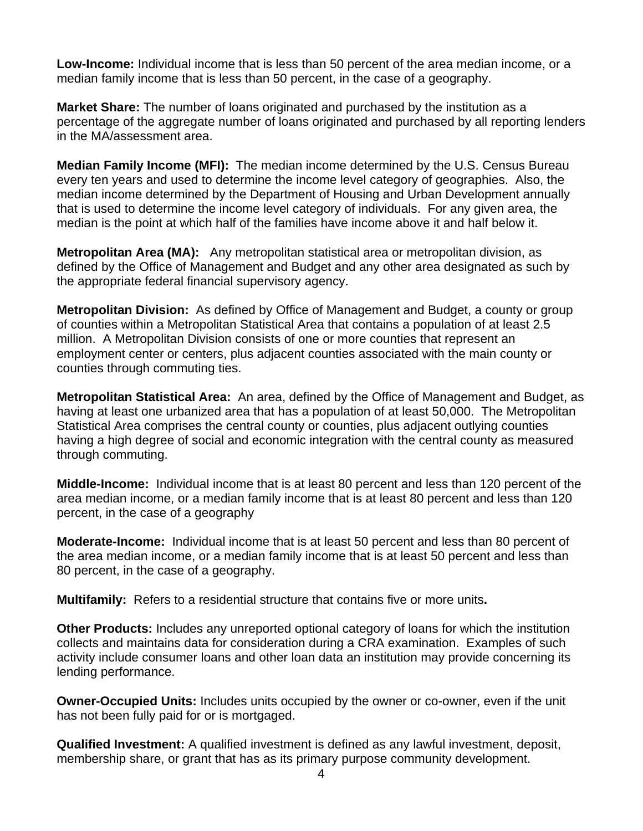**Low-Income:** Individual income that is less than 50 percent of the area median income, or a median family income that is less than 50 percent, in the case of a geography.

**Market Share:** The number of loans originated and purchased by the institution as a percentage of the aggregate number of loans originated and purchased by all reporting lenders in the MA/assessment area.

**Median Family Income (MFI):** The median income determined by the U.S. Census Bureau every ten years and used to determine the income level category of geographies. Also, the median income determined by the Department of Housing and Urban Development annually that is used to determine the income level category of individuals. For any given area, the median is the point at which half of the families have income above it and half below it.

**Metropolitan Area (MA):** Any metropolitan statistical area or metropolitan division, as defined by the Office of Management and Budget and any other area designated as such by the appropriate federal financial supervisory agency.

**Metropolitan Division:** As defined by Office of Management and Budget, a county or group of counties within a Metropolitan Statistical Area that contains a population of at least 2.5 million. A Metropolitan Division consists of one or more counties that represent an employment center or centers, plus adjacent counties associated with the main county or counties through commuting ties.

**Metropolitan Statistical Area:** An area, defined by the Office of Management and Budget, as having at least one urbanized area that has a population of at least 50,000. The Metropolitan Statistical Area comprises the central county or counties, plus adjacent outlying counties having a high degree of social and economic integration with the central county as measured through commuting.

**Middle-Income:** Individual income that is at least 80 percent and less than 120 percent of the area median income, or a median family income that is at least 80 percent and less than 120 percent, in the case of a geography

**Moderate-Income:** Individual income that is at least 50 percent and less than 80 percent of the area median income, or a median family income that is at least 50 percent and less than 80 percent, in the case of a geography.

**Multifamily:** Refers to a residential structure that contains five or more units**.** 

**Other Products:** Includes any unreported optional category of loans for which the institution collects and maintains data for consideration during a CRA examination. Examples of such activity include consumer loans and other loan data an institution may provide concerning its lending performance.

**Owner-Occupied Units:** Includes units occupied by the owner or co-owner, even if the unit has not been fully paid for or is mortgaged.

**Qualified Investment:** A qualified investment is defined as any lawful investment, deposit, membership share, or grant that has as its primary purpose community development.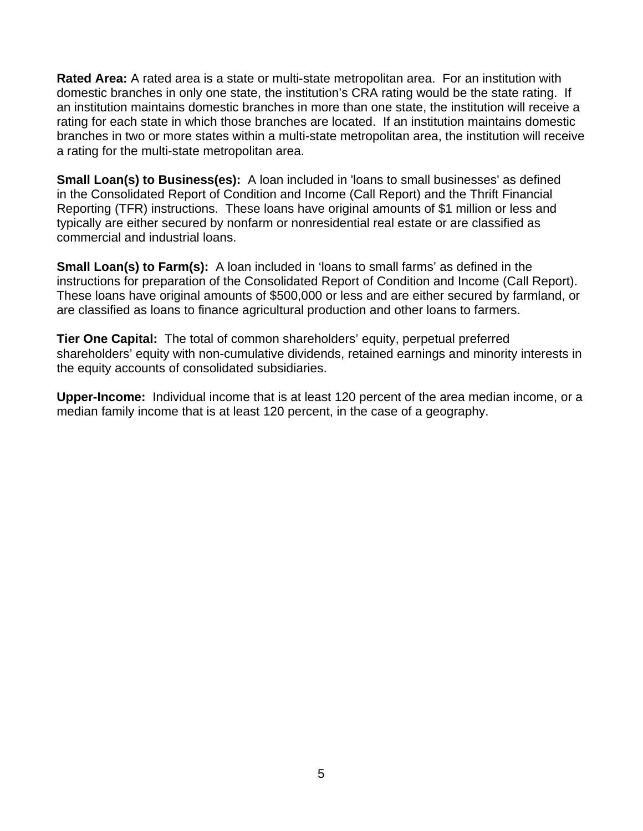a rating for the multi-state metropolitan area. **Rated Area:** A rated area is a state or multi-state metropolitan area. For an institution with domestic branches in only one state, the institution's CRA rating would be the state rating. If an institution maintains domestic branches in more than one state, the institution will receive a rating for each state in which those branches are located. If an institution maintains domestic branches in two or more states within a multi-state metropolitan area, the institution will receive

**Small Loan(s) to Business(es):** A loan included in 'loans to small businesses' as defined in the Consolidated Report of Condition and Income (Call Report) and the Thrift Financial Reporting (TFR) instructions. These loans have original amounts of \$1 million or less and typically are either secured by nonfarm or nonresidential real estate or are classified as commercial and industrial loans.

**Small Loan(s) to Farm(s):** A loan included in 'loans to small farms' as defined in the instructions for preparation of the Consolidated Report of Condition and Income (Call Report). These loans have original amounts of \$500,000 or less and are either secured by farmland, or are classified as loans to finance agricultural production and other loans to farmers.

**Tier One Capital:** The total of common shareholders' equity, perpetual preferred shareholders' equity with non-cumulative dividends, retained earnings and minority interests in the equity accounts of consolidated subsidiaries.

**Upper-Income:** Individual income that is at least 120 percent of the area median income, or a median family income that is at least 120 percent, in the case of a geography.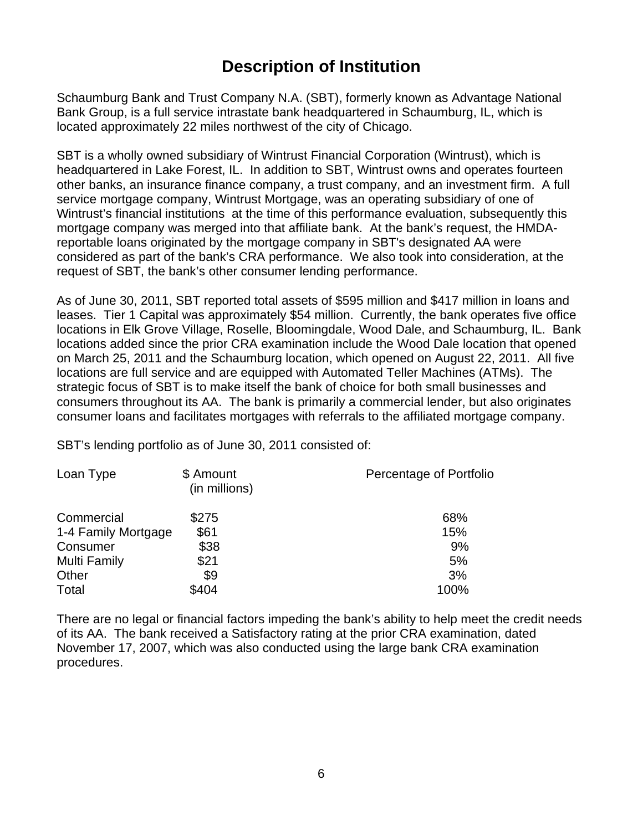## **Description of Institution**

Schaumburg Bank and Trust Company N.A. (SBT), formerly known as Advantage National Bank Group, is a full service intrastate bank headquartered in Schaumburg, IL, which is located approximately 22 miles northwest of the city of Chicago.

SBT is a wholly owned subsidiary of Wintrust Financial Corporation (Wintrust), which is headquartered in Lake Forest, IL. In addition to SBT, Wintrust owns and operates fourteen other banks, an insurance finance company, a trust company, and an investment firm. A full service mortgage company, Wintrust Mortgage, was an operating subsidiary of one of Wintrust's financial institutions at the time of this performance evaluation, subsequently this mortgage company was merged into that affiliate bank. At the bank's request, the HMDAreportable loans originated by the mortgage company in SBT's designated AA were considered as part of the bank's CRA performance. We also took into consideration, at the request of SBT, the bank's other consumer lending performance.

As of June 30, 2011, SBT reported total assets of \$595 million and \$417 million in loans and leases. Tier 1 Capital was approximately \$54 million. Currently, the bank operates five office locations in Elk Grove Village, Roselle, Bloomingdale, Wood Dale, and Schaumburg, IL. Bank locations added since the prior CRA examination include the Wood Dale location that opened on March 25, 2011 and the Schaumburg location, which opened on August 22, 2011. All five locations are full service and are equipped with Automated Teller Machines (ATMs). The strategic focus of SBT is to make itself the bank of choice for both small businesses and consumers throughout its AA. The bank is primarily a commercial lender, but also originates consumer loans and facilitates mortgages with referrals to the affiliated mortgage company.

SBT's lending portfolio as of June 30, 2011 consisted of:

| Loan Type           | \$ Amount<br>(in millions) | Percentage of Portfolio |
|---------------------|----------------------------|-------------------------|
| Commercial          | \$275                      | 68%                     |
| 1-4 Family Mortgage | \$61                       | 15%                     |
| Consumer            | \$38                       | 9%                      |
| <b>Multi Family</b> | \$21                       | 5%                      |
| Other               | \$9                        | 3%                      |
| Total               | \$404                      | 100%                    |

There are no legal or financial factors impeding the bank's ability to help meet the credit needs of its AA. The bank received a Satisfactory rating at the prior CRA examination, dated November 17, 2007, which was also conducted using the large bank CRA examination procedures.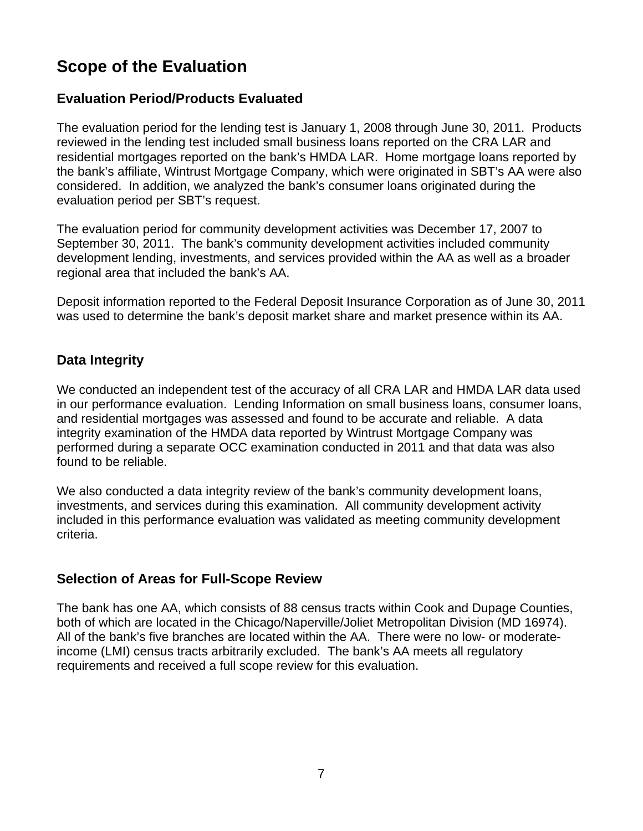## <span id="page-8-0"></span>**Scope of the Evaluation**

#### **Evaluation Period/Products Evaluated**

The evaluation period for the lending test is January 1, 2008 through June 30, 2011. Products reviewed in the lending test included small business loans reported on the CRA LAR and residential mortgages reported on the bank's HMDA LAR. Home mortgage loans reported by the bank's affiliate, Wintrust Mortgage Company, which were originated in SBT's AA were also considered. In addition, we analyzed the bank's consumer loans originated during the evaluation period per SBT's request.

The evaluation period for community development activities was December 17, 2007 to September 30, 2011. The bank's community development activities included community development lending, investments, and services provided within the AA as well as a broader regional area that included the bank's AA.

Deposit information reported to the Federal Deposit Insurance Corporation as of June 30, 2011 was used to determine the bank's deposit market share and market presence within its AA.

#### **Data Integrity**

We conducted an independent test of the accuracy of all CRA LAR and HMDA LAR data used in our performance evaluation. Lending Information on small business loans, consumer loans, and residential mortgages was assessed and found to be accurate and reliable. A data integrity examination of the HMDA data reported by Wintrust Mortgage Company was performed during a separate OCC examination conducted in 2011 and that data was also found to be reliable.

We also conducted a data integrity review of the bank's community development loans, investments, and services during this examination. All community development activity included in this performance evaluation was validated as meeting community development criteria.

#### **Selection of Areas for Full-Scope Review**

The bank has one AA, which consists of 88 census tracts within Cook and Dupage Counties, both of which are located in the Chicago/Naperville/Joliet Metropolitan Division (MD 16974). All of the bank's five branches are located within the AA. There were no low- or moderateincome (LMI) census tracts arbitrarily excluded. The bank's AA meets all regulatory requirements and received a full scope review for this evaluation.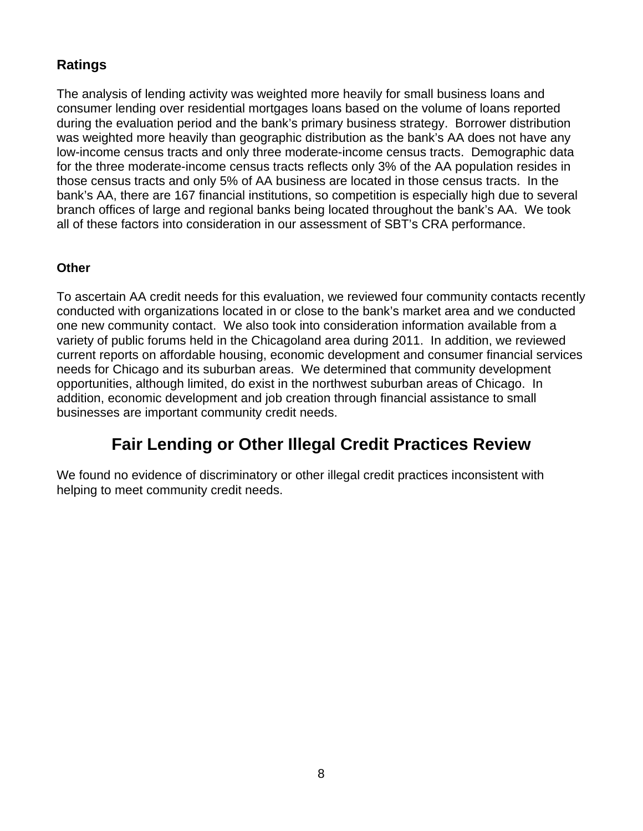### <span id="page-9-0"></span>**Ratings**

The analysis of lending activity was weighted more heavily for small business loans and consumer lending over residential mortgages loans based on the volume of loans reported during the evaluation period and the bank's primary business strategy. Borrower distribution was weighted more heavily than geographic distribution as the bank's AA does not have any low-income census tracts and only three moderate-income census tracts. Demographic data for the three moderate-income census tracts reflects only 3% of the AA population resides in those census tracts and only 5% of AA business are located in those census tracts. In the bank's AA, there are 167 financial institutions, so competition is especially high due to several branch offices of large and regional banks being located throughout the bank's AA. We took all of these factors into consideration in our assessment of SBT's CRA performance.

#### **Other**

To ascertain AA credit needs for this evaluation, we reviewed four community contacts recently conducted with organizations located in or close to the bank's market area and we conducted one new community contact. We also took into consideration information available from a variety of public forums held in the Chicagoland area during 2011. In addition, we reviewed current reports on affordable housing, economic development and consumer financial services needs for Chicago and its suburban areas. We determined that community development opportunities, although limited, do exist in the northwest suburban areas of Chicago. In addition, economic development and job creation through financial assistance to small businesses are important community credit needs.

## **Fair Lending or Other Illegal Credit Practices Review**

We found no evidence of discriminatory or other illegal credit practices inconsistent with helping to meet community credit needs.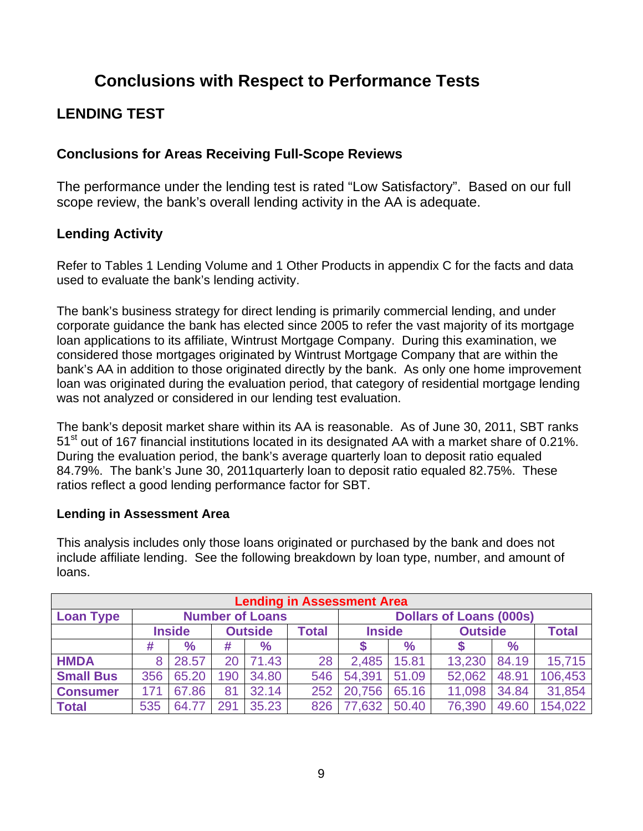## **Conclusions with Respect to Performance Tests**

## **LENDING TEST**

#### **Conclusions for Areas Receiving Full-Scope Reviews**

The performance under the lending test is rated "Low Satisfactory". Based on our full scope review, the bank's overall lending activity in the AA is adequate.

#### **Lending Activity**

Refer to Tables 1 Lending Volume and 1 Other Products in appendix C for the facts and data used to evaluate the bank's lending activity.

The bank's business strategy for direct lending is primarily commercial lending, and under corporate guidance the bank has elected since 2005 to refer the vast majority of its mortgage loan applications to its affiliate, Wintrust Mortgage Company. During this examination, we considered those mortgages originated by Wintrust Mortgage Company that are within the bank's AA in addition to those originated directly by the bank. As only one home improvement loan was originated during the evaluation period, that category of residential mortgage lending was not analyzed or considered in our lending test evaluation.

The bank's deposit market share within its AA is reasonable. As of June 30, 2011, SBT ranks 51<sup>st</sup> out of 167 financial institutions located in its designated AA with a market share of 0.21%. During the evaluation period, the bank's average quarterly loan to deposit ratio equaled 84.79%. The bank's June 30, 2011quarterly loan to deposit ratio equaled 82.75%. These ratios reflect a good lending performance factor for SBT.

#### **Lending in Assessment Area**

This analysis includes only those loans originated or purchased by the bank and does not include affiliate lending. See the following breakdown by loan type, number, and amount of loans.

|                  | <b>Lending in Assessment Area</b> |               |     |                        |       |                                |       |                |              |         |  |  |  |  |
|------------------|-----------------------------------|---------------|-----|------------------------|-------|--------------------------------|-------|----------------|--------------|---------|--|--|--|--|
| <b>Loan Type</b> |                                   |               |     | <b>Number of Loans</b> |       | <b>Dollars of Loans (000s)</b> |       |                |              |         |  |  |  |  |
|                  |                                   | <b>Inside</b> |     | <b>Outside</b>         | Total | <b>Inside</b>                  |       | <b>Outside</b> | <b>Total</b> |         |  |  |  |  |
|                  | #                                 | $\%$          | #   | $\%$                   |       |                                | $\%$  |                | $\%$         |         |  |  |  |  |
| <b>HMDA</b>      | 8                                 | 28.57         | 20  | 71.43                  | 28    | 2,485                          | 15.81 | 13,230         | 84.19        | 15,715  |  |  |  |  |
| <b>Small Bus</b> | 356                               | 65.20         | 190 | 34.80                  | 546   | 54,391                         | 51.09 | 52,062         | 48.91        | 106,453 |  |  |  |  |
| <b>Consumer</b>  | 171                               | 67.86         | 81  | 32.14                  | 252   | 20,756                         | 65.16 | 11,098         | 34.84        | 31,854  |  |  |  |  |
| <b>Total</b>     | 535                               | 64.77         | 291 | 35.23                  | 826   | 77,632                         | 50.40 | 76,390         | 49.60        | 154,022 |  |  |  |  |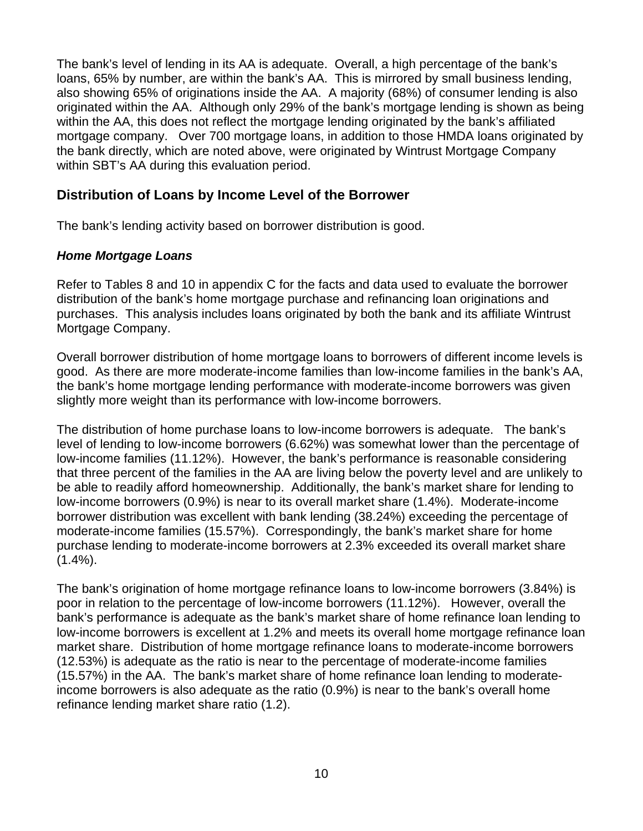The bank's level of lending in its AA is adequate. Overall, a high percentage of the bank's loans, 65% by number, are within the bank's AA. This is mirrored by small business lending, also showing 65% of originations inside the AA. A majority (68%) of consumer lending is also originated within the AA. Although only 29% of the bank's mortgage lending is shown as being within the AA, this does not reflect the mortgage lending originated by the bank's affiliated mortgage company. Over 700 mortgage loans, in addition to those HMDA loans originated by the bank directly, which are noted above, were originated by Wintrust Mortgage Company within SBT's AA during this evaluation period.

#### **Distribution of Loans by Income Level of the Borrower**

The bank's lending activity based on borrower distribution is good.

#### *Home Mortgage Loans*

Refer to Tables 8 and 10 in appendix C for the facts and data used to evaluate the borrower distribution of the bank's home mortgage purchase and refinancing loan originations and purchases. This analysis includes loans originated by both the bank and its affiliate Wintrust Mortgage Company.

Overall borrower distribution of home mortgage loans to borrowers of different income levels is good. As there are more moderate-income families than low-income families in the bank's AA, the bank's home mortgage lending performance with moderate-income borrowers was given slightly more weight than its performance with low-income borrowers.

The distribution of home purchase loans to low-income borrowers is adequate. The bank's level of lending to low-income borrowers (6.62%) was somewhat lower than the percentage of low-income families (11.12%). However, the bank's performance is reasonable considering that three percent of the families in the AA are living below the poverty level and are unlikely to be able to readily afford homeownership. Additionally, the bank's market share for lending to low-income borrowers (0.9%) is near to its overall market share (1.4%). Moderate-income borrower distribution was excellent with bank lending (38.24%) exceeding the percentage of moderate-income families (15.57%). Correspondingly, the bank's market share for home purchase lending to moderate-income borrowers at 2.3% exceeded its overall market share  $(1.4\%)$ .

The bank's origination of home mortgage refinance loans to low-income borrowers (3.84%) is poor in relation to the percentage of low-income borrowers (11.12%). However, overall the bank's performance is adequate as the bank's market share of home refinance loan lending to low-income borrowers is excellent at 1.2% and meets its overall home mortgage refinance loan market share. Distribution of home mortgage refinance loans to moderate-income borrowers (12.53%) is adequate as the ratio is near to the percentage of moderate-income families (15.57%) in the AA. The bank's market share of home refinance loan lending to moderateincome borrowers is also adequate as the ratio (0.9%) is near to the bank's overall home refinance lending market share ratio (1.2).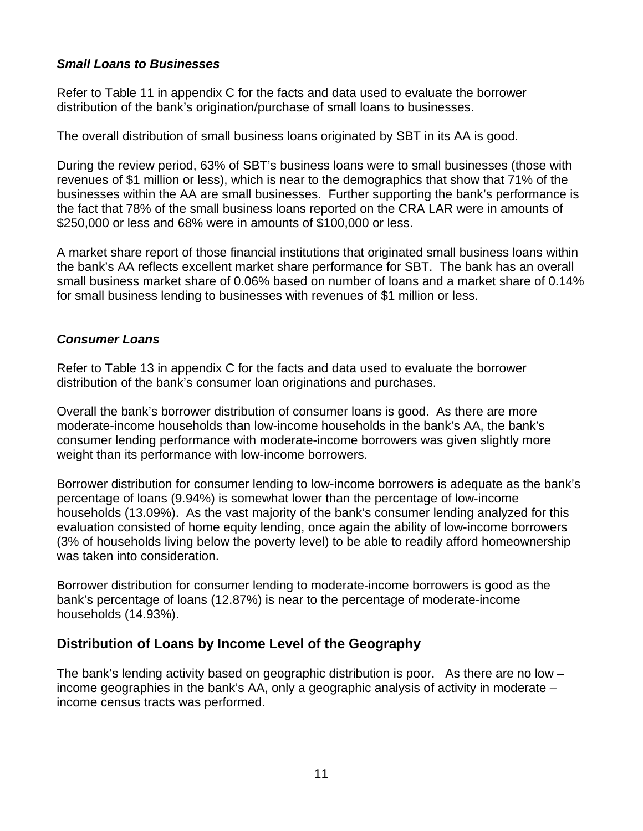#### *Small Loans to Businesses*

Refer to Table 11 in appendix C for the facts and data used to evaluate the borrower distribution of the bank's origination/purchase of small loans to businesses.

The overall distribution of small business loans originated by SBT in its AA is good.

During the review period, 63% of SBT's business loans were to small businesses (those with revenues of \$1 million or less), which is near to the demographics that show that 71% of the businesses within the AA are small businesses. Further supporting the bank's performance is the fact that 78% of the small business loans reported on the CRA LAR were in amounts of \$250,000 or less and 68% were in amounts of \$100,000 or less.

A market share report of those financial institutions that originated small business loans within the bank's AA reflects excellent market share performance for SBT. The bank has an overall small business market share of 0.06% based on number of loans and a market share of 0.14% for small business lending to businesses with revenues of \$1 million or less.

#### *Consumer Loans*

Refer to Table 13 in appendix C for the facts and data used to evaluate the borrower distribution of the bank's consumer loan originations and purchases.

Overall the bank's borrower distribution of consumer loans is good. As there are more moderate-income households than low-income households in the bank's AA, the bank's consumer lending performance with moderate-income borrowers was given slightly more weight than its performance with low-income borrowers.

Borrower distribution for consumer lending to low-income borrowers is adequate as the bank's percentage of loans (9.94%) is somewhat lower than the percentage of low-income households (13.09%). As the vast majority of the bank's consumer lending analyzed for this evaluation consisted of home equity lending, once again the ability of low-income borrowers (3% of households living below the poverty level) to be able to readily afford homeownership was taken into consideration.

Borrower distribution for consumer lending to moderate-income borrowers is good as the bank's percentage of loans (12.87%) is near to the percentage of moderate-income households (14.93%).

#### **Distribution of Loans by Income Level of the Geography**

The bank's lending activity based on geographic distribution is poor. As there are no low – income geographies in the bank's AA, only a geographic analysis of activity in moderate – income census tracts was performed.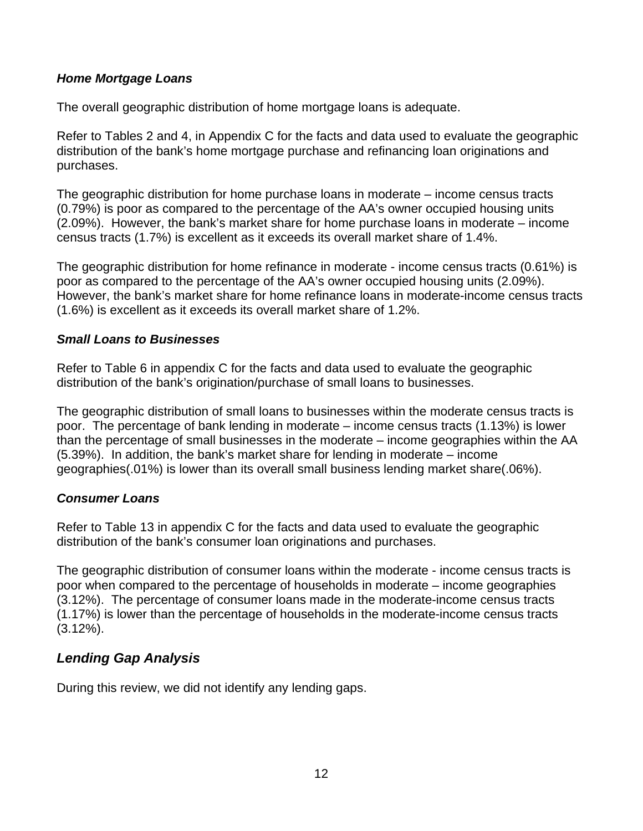#### *Home Mortgage Loans*

The overall geographic distribution of home mortgage loans is adequate.

Refer to Tables 2 and 4, in Appendix C for the facts and data used to evaluate the geographic distribution of the bank's home mortgage purchase and refinancing loan originations and purchases.

The geographic distribution for home purchase loans in moderate – income census tracts (0.79%) is poor as compared to the percentage of the AA's owner occupied housing units (2.09%). However, the bank's market share for home purchase loans in moderate – income census tracts (1.7%) is excellent as it exceeds its overall market share of 1.4%.

The geographic distribution for home refinance in moderate - income census tracts (0.61%) is poor as compared to the percentage of the AA's owner occupied housing units (2.09%). However, the bank's market share for home refinance loans in moderate-income census tracts (1.6%) is excellent as it exceeds its overall market share of 1.2%.

#### *Small Loans to Businesses*

Refer to Table 6 in appendix C for the facts and data used to evaluate the geographic distribution of the bank's origination/purchase of small loans to businesses.

The geographic distribution of small loans to businesses within the moderate census tracts is poor. The percentage of bank lending in moderate – income census tracts (1.13%) is lower than the percentage of small businesses in the moderate – income geographies within the AA (5.39%). In addition, the bank's market share for lending in moderate – income geographies(.01%) is lower than its overall small business lending market share(.06%).

#### *Consumer Loans*

Refer to Table 13 in appendix C for the facts and data used to evaluate the geographic distribution of the bank's consumer loan originations and purchases.

The geographic distribution of consumer loans within the moderate - income census tracts is poor when compared to the percentage of households in moderate – income geographies (3.12%). The percentage of consumer loans made in the moderate-income census tracts (1.17%) is lower than the percentage of households in the moderate-income census tracts (3.12%).

#### *Lending Gap Analysis*

During this review, we did not identify any lending gaps.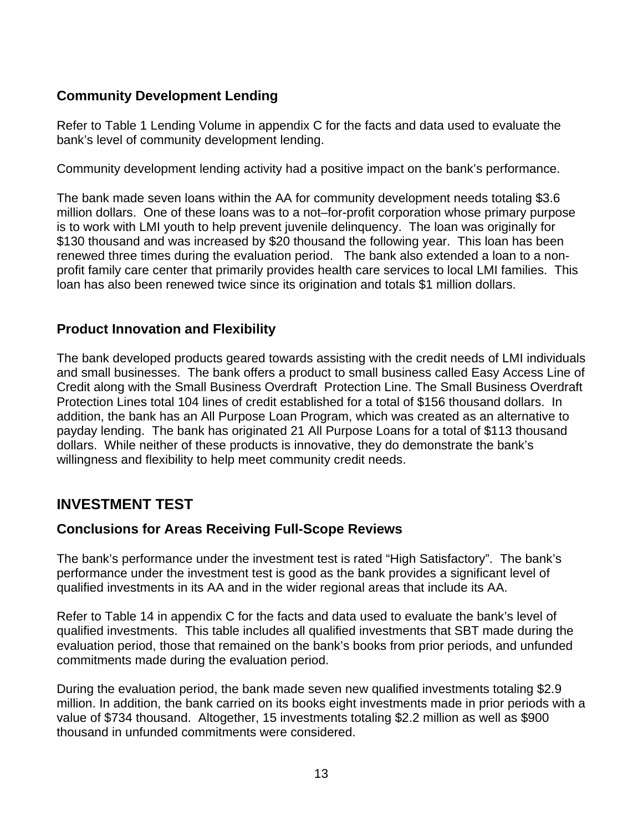#### <span id="page-14-0"></span>**Community Development Lending**

Refer to Table 1 Lending Volume in appendix C for the facts and data used to evaluate the bank's level of community development lending.

Community development lending activity had a positive impact on the bank's performance.

The bank made seven loans within the AA for community development needs totaling \$3.6 million dollars. One of these loans was to a not–for-profit corporation whose primary purpose is to work with LMI youth to help prevent juvenile delinquency. The loan was originally for \$130 thousand and was increased by \$20 thousand the following year. This loan has been renewed three times during the evaluation period. The bank also extended a loan to a nonprofit family care center that primarily provides health care services to local LMI families. This loan has also been renewed twice since its origination and totals \$1 million dollars.

#### **Product Innovation and Flexibility**

The bank developed products geared towards assisting with the credit needs of LMI individuals and small businesses. The bank offers a product to small business called Easy Access Line of Credit along with the Small Business Overdraft Protection Line. The Small Business Overdraft Protection Lines total 104 lines of credit established for a total of \$156 thousand dollars. In addition, the bank has an All Purpose Loan Program, which was created as an alternative to payday lending. The bank has originated 21 All Purpose Loans for a total of \$113 thousand dollars. While neither of these products is innovative, they do demonstrate the bank's willingness and flexibility to help meet community credit needs.

### **INVESTMENT TEST**

### **Conclusions for Areas Receiving Full-Scope Reviews**

The bank's performance under the investment test is rated "High Satisfactory". The bank's performance under the investment test is good as the bank provides a significant level of qualified investments in its AA and in the wider regional areas that include its AA.

Refer to Table 14 in appendix C for the facts and data used to evaluate the bank's level of qualified investments. This table includes all qualified investments that SBT made during the evaluation period, those that remained on the bank's books from prior periods, and unfunded commitments made during the evaluation period.

During the evaluation period, the bank made seven new qualified investments totaling \$2.9 million. In addition, the bank carried on its books eight investments made in prior periods with a value of \$734 thousand. Altogether, 15 investments totaling \$2.2 million as well as \$900 thousand in unfunded commitments were considered.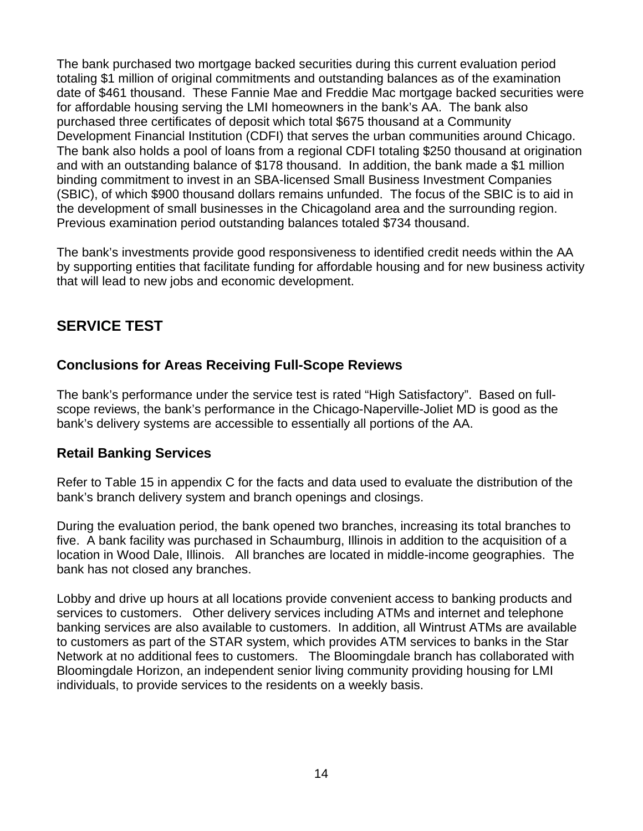<span id="page-15-0"></span>The bank purchased two mortgage backed securities during this current evaluation period totaling \$1 million of original commitments and outstanding balances as of the examination date of \$461 thousand. These Fannie Mae and Freddie Mac mortgage backed securities were for affordable housing serving the LMI homeowners in the bank's AA. The bank also purchased three certificates of deposit which total \$675 thousand at a Community Development Financial Institution (CDFI) that serves the urban communities around Chicago. The bank also holds a pool of loans from a regional CDFI totaling \$250 thousand at origination and with an outstanding balance of \$178 thousand. In addition, the bank made a \$1 million binding commitment to invest in an SBA-licensed Small Business Investment Companies (SBIC), of which \$900 thousand dollars remains unfunded. The focus of the SBIC is to aid in the development of small businesses in the Chicagoland area and the surrounding region. Previous examination period outstanding balances totaled \$734 thousand.

The bank's investments provide good responsiveness to identified credit needs within the AA by supporting entities that facilitate funding for affordable housing and for new business activity that will lead to new jobs and economic development.

### **SERVICE TEST**

#### **Conclusions for Areas Receiving Full-Scope Reviews**

The bank's performance under the service test is rated "High Satisfactory". Based on fullscope reviews, the bank's performance in the Chicago-Naperville-Joliet MD is good as the bank's delivery systems are accessible to essentially all portions of the AA.

#### **Retail Banking Services**

Refer to Table 15 in appendix C for the facts and data used to evaluate the distribution of the bank's branch delivery system and branch openings and closings.

During the evaluation period, the bank opened two branches, increasing its total branches to five. A bank facility was purchased in Schaumburg, Illinois in addition to the acquisition of a location in Wood Dale, Illinois. All branches are located in middle-income geographies. The bank has not closed any branches.

Lobby and drive up hours at all locations provide convenient access to banking products and services to customers. Other delivery services including ATMs and internet and telephone banking services are also available to customers. In addition, all Wintrust ATMs are available to customers as part of the STAR system, which provides ATM services to banks in the Star Network at no additional fees to customers. The Bloomingdale branch has collaborated with Bloomingdale Horizon, an independent senior living community providing housing for LMI individuals, to provide services to the residents on a weekly basis.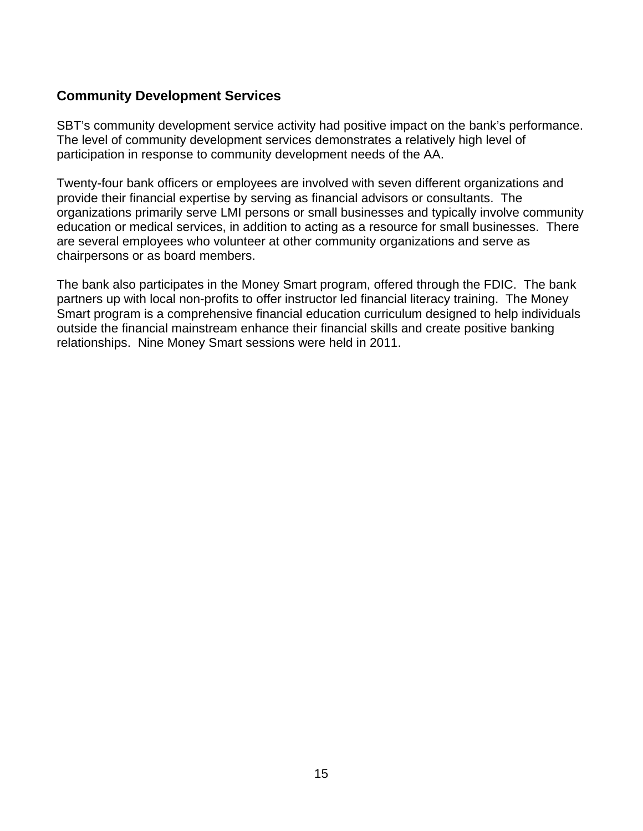#### **Community Development Services**

SBT's community development service activity had positive impact on the bank's performance. The level of community development services demonstrates a relatively high level of participation in response to community development needs of the AA.

Twenty-four bank officers or employees are involved with seven different organizations and provide their financial expertise by serving as financial advisors or consultants. The organizations primarily serve LMI persons or small businesses and typically involve community education or medical services, in addition to acting as a resource for small businesses. There are several employees who volunteer at other community organizations and serve as chairpersons or as board members.

The bank also participates in the Money Smart program, offered through the FDIC. The bank partners up with local non-profits to offer instructor led financial literacy training. The Money Smart program is a comprehensive financial education curriculum designed to help individuals outside the financial mainstream enhance their financial skills and create positive banking relationships. Nine Money Smart sessions were held in 2011.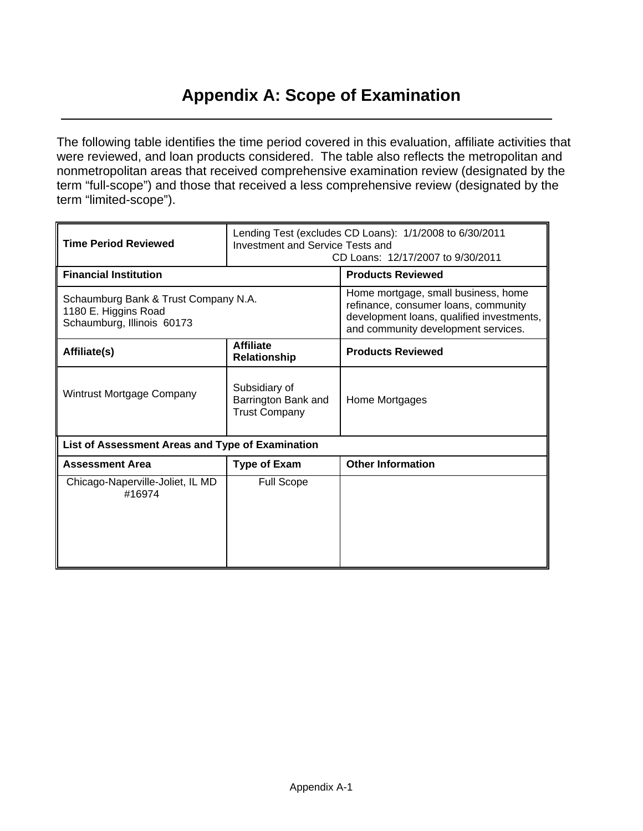## **Appendix A: Scope of Examination**

The following table identifies the time period covered in this evaluation, affiliate activities that were reviewed, and loan products considered. The table also reflects the metropolitan and nonmetropolitan areas that received comprehensive examination review (designated by the term "full-scope") and those that received a less comprehensive review (designated by the term "limited-scope").

| <b>Time Period Reviewed</b>                                                                | Lending Test (excludes CD Loans): 1/1/2008 to 6/30/2011<br><b>Investment and Service Tests and</b><br>CD Loans: 12/17/2007 to 9/30/2011 |                                                                                                                                                                 |  |  |  |  |  |
|--------------------------------------------------------------------------------------------|-----------------------------------------------------------------------------------------------------------------------------------------|-----------------------------------------------------------------------------------------------------------------------------------------------------------------|--|--|--|--|--|
| <b>Financial Institution</b>                                                               |                                                                                                                                         | <b>Products Reviewed</b>                                                                                                                                        |  |  |  |  |  |
| Schaumburg Bank & Trust Company N.A.<br>1180 E. Higgins Road<br>Schaumburg, Illinois 60173 |                                                                                                                                         | Home mortgage, small business, home<br>refinance, consumer loans, community<br>development loans, qualified investments,<br>and community development services. |  |  |  |  |  |
| Affiliate(s)                                                                               | <b>Affiliate</b><br>Relationship                                                                                                        | <b>Products Reviewed</b>                                                                                                                                        |  |  |  |  |  |
| Wintrust Mortgage Company                                                                  | Subsidiary of<br>Barrington Bank and<br><b>Trust Company</b>                                                                            | Home Mortgages                                                                                                                                                  |  |  |  |  |  |
| List of Assessment Areas and Type of Examination                                           |                                                                                                                                         |                                                                                                                                                                 |  |  |  |  |  |
| <b>Assessment Area</b>                                                                     | <b>Type of Exam</b>                                                                                                                     | <b>Other Information</b>                                                                                                                                        |  |  |  |  |  |
| Chicago-Naperville-Joliet, IL MD<br>#16974                                                 | <b>Full Scope</b>                                                                                                                       |                                                                                                                                                                 |  |  |  |  |  |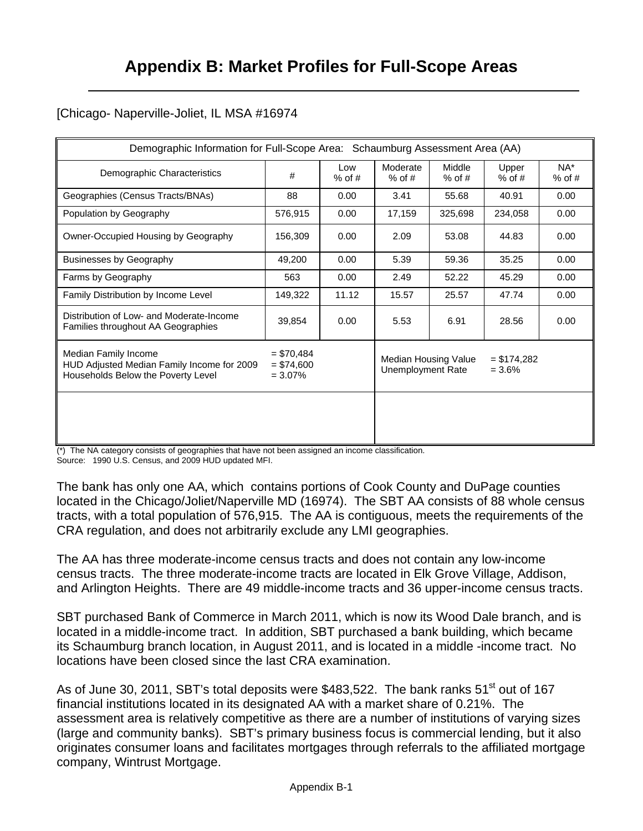#### [Chicago- Naperville-Joliet, IL MSA #16974

|                                                                                                          | Demographic Information for Full-Scope Area: Schaumburg Assessment Area (AA) |                 |                                           |                    |                          |                    |  |  |  |  |  |
|----------------------------------------------------------------------------------------------------------|------------------------------------------------------------------------------|-----------------|-------------------------------------------|--------------------|--------------------------|--------------------|--|--|--|--|--|
| Demographic Characteristics                                                                              | #                                                                            | Low<br>$%$ of # | Moderate<br>$%$ of #                      | Middle<br>$%$ of # | Upper<br>$%$ of #        | $NA^*$<br>$%$ of # |  |  |  |  |  |
| Geographies (Census Tracts/BNAs)                                                                         | 88                                                                           | 0.00            | 3.41                                      | 55.68              | 40.91                    | 0.00               |  |  |  |  |  |
| Population by Geography                                                                                  | 576,915                                                                      | 0.00            | 17,159                                    | 325,698            | 234,058                  | 0.00               |  |  |  |  |  |
| Owner-Occupied Housing by Geography                                                                      | 156,309                                                                      | 0.00            | 2.09                                      | 53.08              | 44.83                    | 0.00               |  |  |  |  |  |
| <b>Businesses by Geography</b>                                                                           | 49,200                                                                       | 0.00            | 5.39                                      | 59.36              | 35.25                    | 0.00               |  |  |  |  |  |
| Farms by Geography                                                                                       | 563                                                                          | 0.00            | 2.49                                      | 52.22              | 45.29                    | 0.00               |  |  |  |  |  |
| Family Distribution by Income Level                                                                      | 149,322                                                                      | 11.12           | 15.57                                     | 25.57              | 47.74                    | 0.00               |  |  |  |  |  |
| Distribution of Low- and Moderate-Income<br>Families throughout AA Geographies                           | 39,854                                                                       | 0.00            | 5.53                                      | 6.91               | 28.56                    | 0.00               |  |  |  |  |  |
| Median Family Income<br>HUD Adjusted Median Family Income for 2009<br>Households Below the Poverty Level | $= $70,484$<br>$= $74,600$<br>$= 3.07\%$                                     |                 | Median Housing Value<br>Unemployment Rate |                    | $= $174,282$<br>$= 3.6%$ |                    |  |  |  |  |  |
|                                                                                                          |                                                                              |                 |                                           |                    |                          |                    |  |  |  |  |  |

(\*) The NA category consists of geographies that have not been assigned an income classification.

Source: 1990 U.S. Census, and 2009 HUD updated MFI.

The bank has only one AA, which contains portions of Cook County and DuPage counties located in the Chicago/Joliet/Naperville MD (16974). The SBT AA consists of 88 whole census tracts, with a total population of 576,915. The AA is contiguous, meets the requirements of the CRA regulation, and does not arbitrarily exclude any LMI geographies.

The AA has three moderate-income census tracts and does not contain any low-income census tracts. The three moderate-income tracts are located in Elk Grove Village, Addison, and Arlington Heights. There are 49 middle-income tracts and 36 upper-income census tracts.

SBT purchased Bank of Commerce in March 2011, which is now its Wood Dale branch, and is located in a middle-income tract. In addition, SBT purchased a bank building, which became its Schaumburg branch location, in August 2011, and is located in a middle -income tract. No locations have been closed since the last CRA examination.

As of June 30, 2011, SBT's total deposits were \$483,522. The bank ranks  $51<sup>st</sup>$  out of 167 financial institutions located in its designated AA with a market share of 0.21%. The assessment area is relatively competitive as there are a number of institutions of varying sizes (large and community banks). SBT's primary business focus is commercial lending, but it also originates consumer loans and facilitates mortgages through referrals to the affiliated mortgage company, Wintrust Mortgage.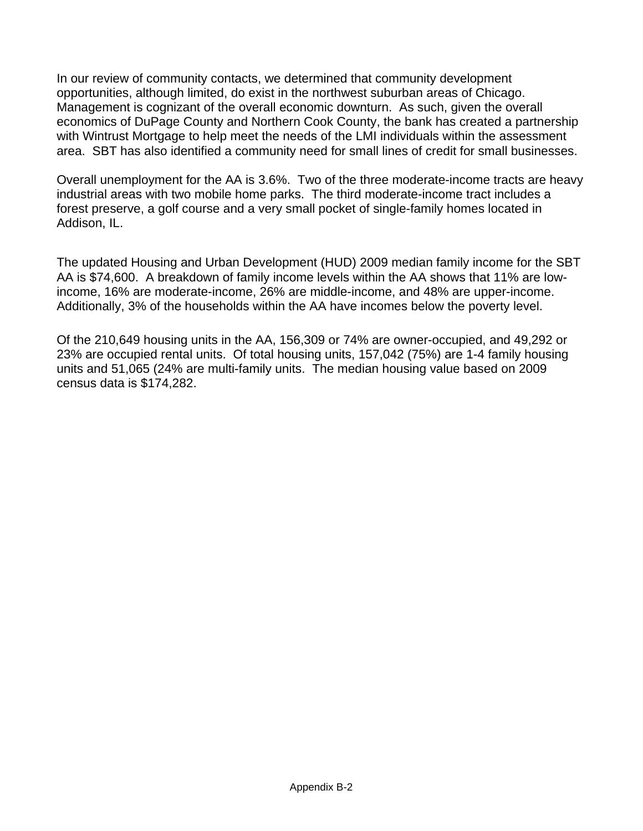In our review of community contacts, we determined that community development opportunities, although limited, do exist in the northwest suburban areas of Chicago. Management is cognizant of the overall economic downturn. As such, given the overall economics of DuPage County and Northern Cook County, the bank has created a partnership with Wintrust Mortgage to help meet the needs of the LMI individuals within the assessment area. SBT has also identified a community need for small lines of credit for small businesses.

Overall unemployment for the AA is 3.6%. Two of the three moderate-income tracts are heavy industrial areas with two mobile home parks. The third moderate-income tract includes a forest preserve, a golf course and a very small pocket of single-family homes located in Addison, IL.

The updated Housing and Urban Development (HUD) 2009 median family income for the SBT AA is \$74,600. A breakdown of family income levels within the AA shows that 11% are lowincome, 16% are moderate-income, 26% are middle-income, and 48% are upper-income. Additionally, 3% of the households within the AA have incomes below the poverty level.

Of the 210,649 housing units in the AA, 156,309 or 74% are owner-occupied, and 49,292 or 23% are occupied rental units. Of total housing units, 157,042 (75%) are 1-4 family housing units and 51,065 (24% are multi-family units. The median housing value based on 2009 census data is \$174,282.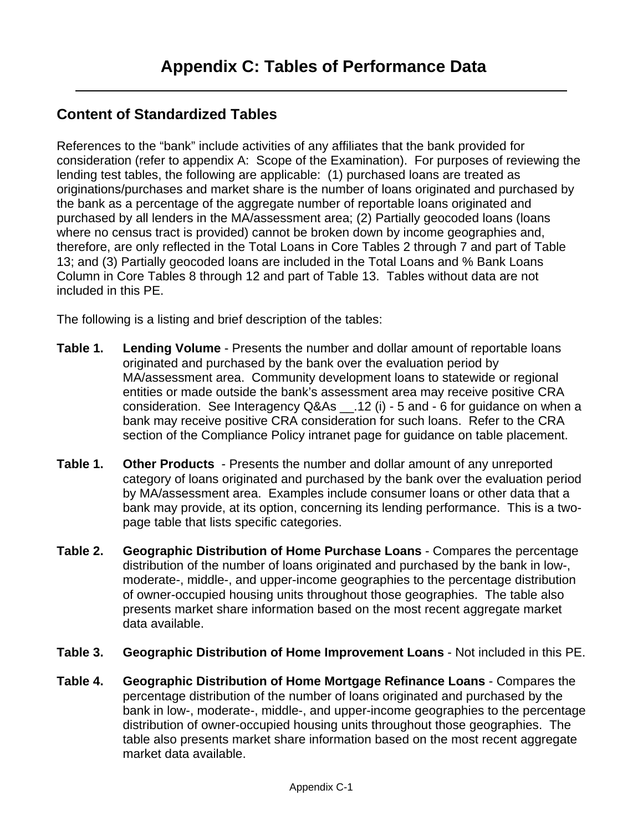### **Content of Standardized Tables**

References to the "bank" include activities of any affiliates that the bank provided for consideration (refer to appendix A: Scope of the Examination). For purposes of reviewing the lending test tables, the following are applicable: (1) purchased loans are treated as originations/purchases and market share is the number of loans originated and purchased by the bank as a percentage of the aggregate number of reportable loans originated and purchased by all lenders in the MA/assessment area; (2) Partially geocoded loans (loans where no census tract is provided) cannot be broken down by income geographies and, therefore, are only reflected in the Total Loans in Core Tables 2 through 7 and part of Table 13; and (3) Partially geocoded loans are included in the Total Loans and % Bank Loans Column in Core Tables 8 through 12 and part of Table 13. Tables without data are not included in this PE.

The following is a listing and brief description of the tables:

- **Table 1. Lending Volume** Presents the number and dollar amount of reportable loans originated and purchased by the bank over the evaluation period by MA/assessment area. Community development loans to statewide or regional entities or made outside the bank's assessment area may receive positive CRA consideration. See Interagency Q&As \_\_.12 (i) - 5 and - 6 for guidance on when a bank may receive positive CRA consideration for such loans. Refer to the CRA section of the Compliance Policy intranet page for guidance on table placement.
- **Table 1. Other Products**  Presents the number and dollar amount of any unreported category of loans originated and purchased by the bank over the evaluation period by MA/assessment area. Examples include consumer loans or other data that a bank may provide, at its option, concerning its lending performance. This is a twopage table that lists specific categories.
- **Table 2. Geographic Distribution of Home Purchase Loans** Compares the percentage distribution of the number of loans originated and purchased by the bank in low-, moderate-, middle-, and upper-income geographies to the percentage distribution of owner-occupied housing units throughout those geographies. The table also presents market share information based on the most recent aggregate market data available.
- **Table 3. Geographic Distribution of Home Improvement Loans** Not included in this PE.
- market data available.<br>Appendix C-1 **Table 4. Geographic Distribution of Home Mortgage Refinance Loans** - Compares the percentage distribution of the number of loans originated and purchased by the bank in low-, moderate-, middle-, and upper-income geographies to the percentage distribution of owner-occupied housing units throughout those geographies. The table also presents market share information based on the most recent aggregate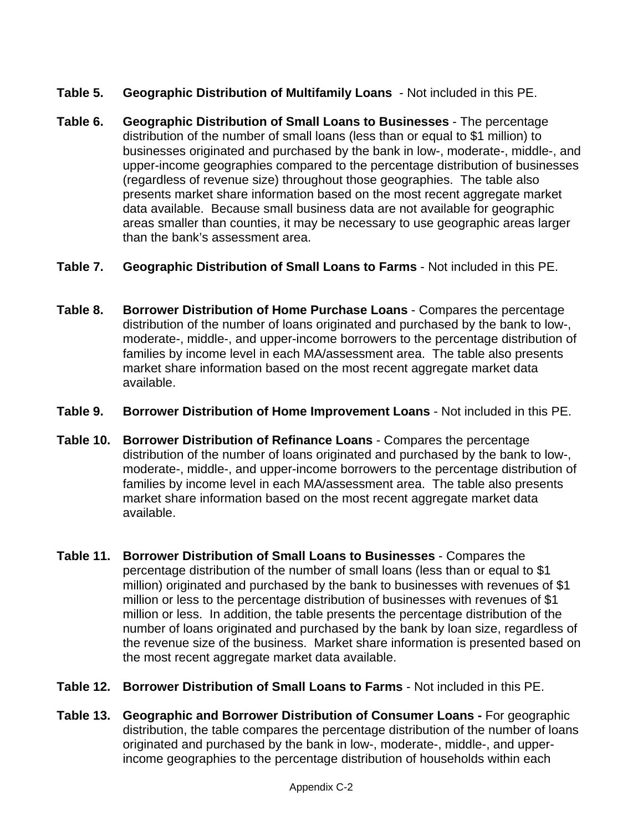- **Table 5. Geographic Distribution of Multifamily Loans** Not included in this PE.
- **Table 6. Geographic Distribution of Small Loans to Businesses** The percentage distribution of the number of small loans (less than or equal to \$1 million) to businesses originated and purchased by the bank in low-, moderate-, middle-, and upper-income geographies compared to the percentage distribution of businesses (regardless of revenue size) throughout those geographies. The table also presents market share information based on the most recent aggregate market data available. Because small business data are not available for geographic areas smaller than counties, it may be necessary to use geographic areas larger than the bank's assessment area.
- **Table 7. Geographic Distribution of Small Loans to Farms** Not included in this PE.
- **Table 8. Borrower Distribution of Home Purchase Loans** Compares the percentage distribution of the number of loans originated and purchased by the bank to low-, moderate-, middle-, and upper-income borrowers to the percentage distribution of families by income level in each MA/assessment area. The table also presents market share information based on the most recent aggregate market data available.
- **Table 9. Borrower Distribution of Home Improvement Loans** Not included in this PE.
- **Table 10. Borrower Distribution of Refinance Loans** Compares the percentage distribution of the number of loans originated and purchased by the bank to low-, moderate-, middle-, and upper-income borrowers to the percentage distribution of families by income level in each MA/assessment area. The table also presents market share information based on the most recent aggregate market data available.
- **Table 11. Borrower Distribution of Small Loans to Businesses** Compares the percentage distribution of the number of small loans (less than or equal to \$1 million) originated and purchased by the bank to businesses with revenues of \$1 million or less to the percentage distribution of businesses with revenues of \$1 million or less. In addition, the table presents the percentage distribution of the number of loans originated and purchased by the bank by loan size, regardless of the revenue size of the business. Market share information is presented based on the most recent aggregate market data available.
- **Table 12. Borrower Distribution of Small Loans to Farms** Not included in this PE.
- **Table 13. Geographic and Borrower Distribution of Consumer Loans For geographic** distribution, the table compares the percentage distribution of the number of loans originated and purchased by the bank in low-, moderate-, middle-, and upperincome geographies to the percentage distribution of households within each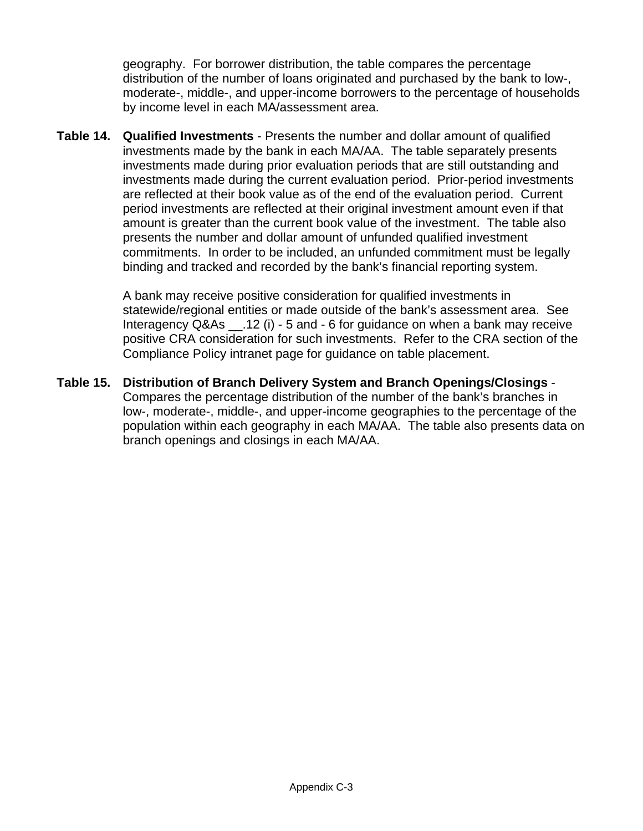geography. For borrower distribution, the table compares the percentage distribution of the number of loans originated and purchased by the bank to low-, moderate-, middle-, and upper-income borrowers to the percentage of households by income level in each MA/assessment area.

**Table 14. Qualified Investments** - Presents the number and dollar amount of qualified investments made by the bank in each MA/AA. The table separately presents investments made during prior evaluation periods that are still outstanding and investments made during the current evaluation period. Prior-period investments are reflected at their book value as of the end of the evaluation period. Current period investments are reflected at their original investment amount even if that amount is greater than the current book value of the investment. The table also presents the number and dollar amount of unfunded qualified investment commitments. In order to be included, an unfunded commitment must be legally binding and tracked and recorded by the bank's financial reporting system.

> A bank may receive positive consideration for qualified investments in statewide/regional entities or made outside of the bank's assessment area. See Interagency  $Q&As$   $.12$  (i) - 5 and - 6 for guidance on when a bank may receive positive CRA consideration for such investments. Refer to the CRA section of the Compliance Policy intranet page for guidance on table placement.

**Table 15. Distribution of Branch Delivery System and Branch Openings/Closings** - Compares the percentage distribution of the number of the bank's branches in low-, moderate-, middle-, and upper-income geographies to the percentage of the population within each geography in each MA/AA. The table also presents data on branch openings and closings in each MA/AA.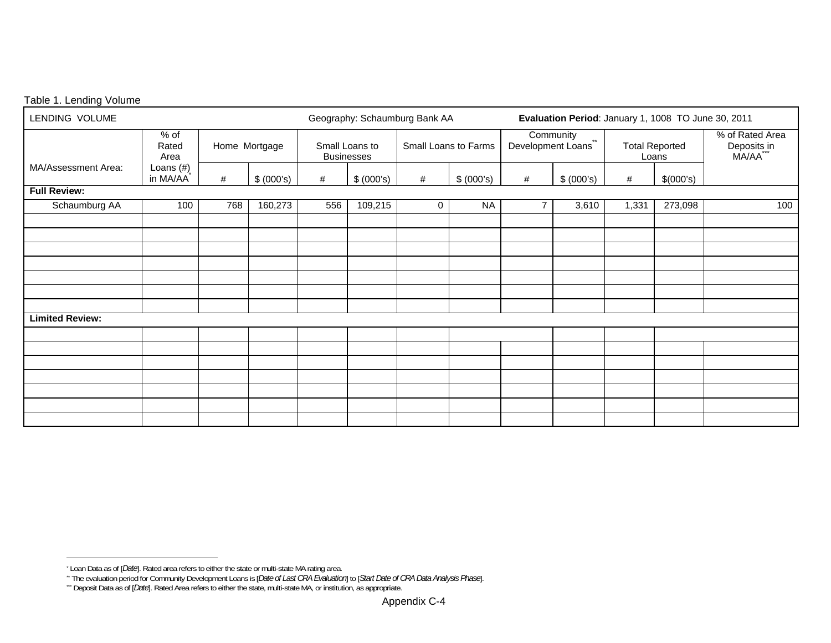#### Table 1. Lending Volume

| LENDING VOLUME         |                                       |      |               |     |                                     | Geography: Schaumburg Bank AA |            | Evaluation Period: January 1, 1008 TO June 30, 2011 |                                  |       |                                |                                            |  |
|------------------------|---------------------------------------|------|---------------|-----|-------------------------------------|-------------------------------|------------|-----------------------------------------------------|----------------------------------|-------|--------------------------------|--------------------------------------------|--|
|                        | $%$ of<br>Rated<br>Area               |      | Home Mortgage |     | Small Loans to<br><b>Businesses</b> | Small Loans to Farms          |            |                                                     | Community<br>Development Loans** |       | <b>Total Reported</b><br>Loans | % of Rated Area<br>Deposits in<br>MA/AA*** |  |
| MA/Assessment Area:    | Loans $(\#)$<br>in MA/AA <sup>*</sup> | $\#$ | \$ (000's)    | #   | \$ (000's)                          | #                             | \$ (000's) | #                                                   | \$ (000's)                       | #     | \$(000's)                      |                                            |  |
| <b>Full Review:</b>    |                                       |      |               |     |                                     |                               |            |                                                     |                                  |       |                                |                                            |  |
| Schaumburg AA          | 100                                   | 768  | 160,273       | 556 | 109,215                             | $\mathbf 0$                   | <b>NA</b>  | 7                                                   | 3,610                            | 1,331 | 273,098                        | 100                                        |  |
|                        |                                       |      |               |     |                                     |                               |            |                                                     |                                  |       |                                |                                            |  |
|                        |                                       |      |               |     |                                     |                               |            |                                                     |                                  |       |                                |                                            |  |
|                        |                                       |      |               |     |                                     |                               |            |                                                     |                                  |       |                                |                                            |  |
|                        |                                       |      |               |     |                                     |                               |            |                                                     |                                  |       |                                |                                            |  |
|                        |                                       |      |               |     |                                     |                               |            |                                                     |                                  |       |                                |                                            |  |
|                        |                                       |      |               |     |                                     |                               |            |                                                     |                                  |       |                                |                                            |  |
|                        |                                       |      |               |     |                                     |                               |            |                                                     |                                  |       |                                |                                            |  |
| <b>Limited Review:</b> |                                       |      |               |     |                                     |                               |            |                                                     |                                  |       |                                |                                            |  |
|                        |                                       |      |               |     |                                     |                               |            |                                                     |                                  |       |                                |                                            |  |
|                        |                                       |      |               |     |                                     |                               |            |                                                     |                                  |       |                                |                                            |  |
|                        |                                       |      |               |     |                                     |                               |            |                                                     |                                  |       |                                |                                            |  |
|                        |                                       |      |               |     |                                     |                               |            |                                                     |                                  |       |                                |                                            |  |
|                        |                                       |      |               |     |                                     |                               |            |                                                     |                                  |       |                                |                                            |  |
|                        |                                       |      |               |     |                                     |                               |            |                                                     |                                  |       |                                |                                            |  |
|                        |                                       |      |               |     |                                     |                               |            |                                                     |                                  |       |                                |                                            |  |

<sup>\*</sup> Loan Data as of [*Date*]. Rated area refers to either the state or multi-state MA rating area.

<sup>\*\*</sup> The evaluation period for Community Development Loans is [*Date of Last CRA Evaluation*] to [*Start Date of CRA Data Analysis Phase*].

<sup>\*\*\*</sup> Deposit Data as of [*Date*]. Rated Area refers to either the state, multi-state MA, or institution, as appropriate.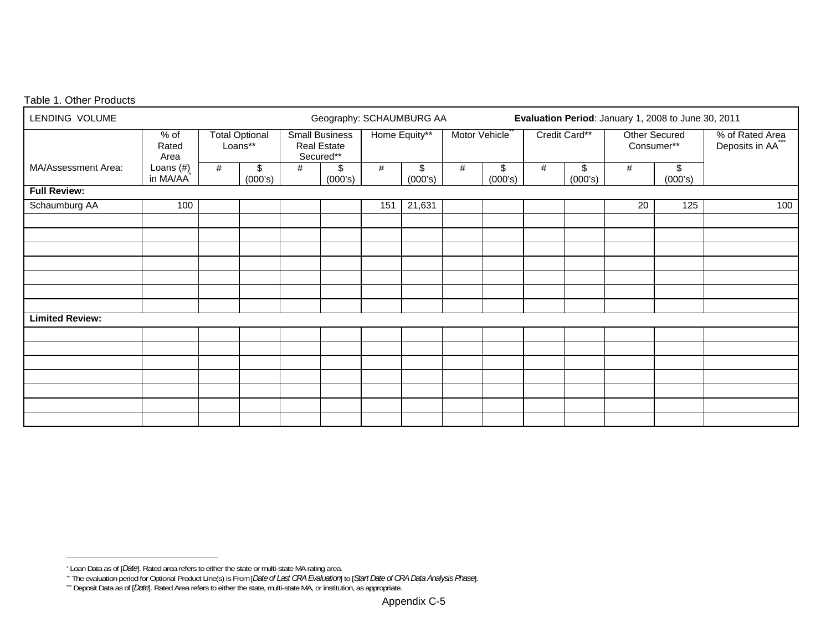#### Table 1. Other Products

| LENDING VOLUME         |                         |   |                                  |                                                          | Geography: SCHAUMBURG AA |               |               |                            | Evaluation Period: January 1, 2008 to June 30, 2011 |   |               |            |               |                                |  |                                   |
|------------------------|-------------------------|---|----------------------------------|----------------------------------------------------------|--------------------------|---------------|---------------|----------------------------|-----------------------------------------------------|---|---------------|------------|---------------|--------------------------------|--|-----------------------------------|
|                        | $%$ of<br>Rated<br>Area |   | <b>Total Optional</b><br>Loans** | <b>Small Business</b><br><b>Real Estate</b><br>Secured** |                          | Home Equity** |               | Motor Vehicle <sup>®</sup> |                                                     |   |               | Consumer** |               | Credit Card**<br>Other Secured |  | % of Rated Area<br>Deposits in AA |
| MA/Assessment Area:    | Loans (#)<br>in MA/AA   | # | \$<br>(000's)                    | #                                                        | \$<br>(000's)            | #             | \$<br>(000's) | #                          | \$<br>(000's)                                       | # | \$<br>(000's) | #          | \$<br>(000's) |                                |  |                                   |
| <b>Full Review:</b>    |                         |   |                                  |                                                          |                          |               |               |                            |                                                     |   |               |            |               |                                |  |                                   |
| Schaumburg AA          | 100                     |   |                                  |                                                          |                          | 151           | 21,631        |                            |                                                     |   |               | 20         | 125           | 100                            |  |                                   |
|                        |                         |   |                                  |                                                          |                          |               |               |                            |                                                     |   |               |            |               |                                |  |                                   |
|                        |                         |   |                                  |                                                          |                          |               |               |                            |                                                     |   |               |            |               |                                |  |                                   |
|                        |                         |   |                                  |                                                          |                          |               |               |                            |                                                     |   |               |            |               |                                |  |                                   |
|                        |                         |   |                                  |                                                          |                          |               |               |                            |                                                     |   |               |            |               |                                |  |                                   |
|                        |                         |   |                                  |                                                          |                          |               |               |                            |                                                     |   |               |            |               |                                |  |                                   |
|                        |                         |   |                                  |                                                          |                          |               |               |                            |                                                     |   |               |            |               |                                |  |                                   |
|                        |                         |   |                                  |                                                          |                          |               |               |                            |                                                     |   |               |            |               |                                |  |                                   |
| <b>Limited Review:</b> |                         |   |                                  |                                                          |                          |               |               |                            |                                                     |   |               |            |               |                                |  |                                   |
|                        |                         |   |                                  |                                                          |                          |               |               |                            |                                                     |   |               |            |               |                                |  |                                   |
|                        |                         |   |                                  |                                                          |                          |               |               |                            |                                                     |   |               |            |               |                                |  |                                   |
|                        |                         |   |                                  |                                                          |                          |               |               |                            |                                                     |   |               |            |               |                                |  |                                   |
|                        |                         |   |                                  |                                                          |                          |               |               |                            |                                                     |   |               |            |               |                                |  |                                   |
|                        |                         |   |                                  |                                                          |                          |               |               |                            |                                                     |   |               |            |               |                                |  |                                   |
|                        |                         |   |                                  |                                                          |                          |               |               |                            |                                                     |   |               |            |               |                                |  |                                   |
|                        |                         |   |                                  |                                                          |                          |               |               |                            |                                                     |   |               |            |               |                                |  |                                   |

<sup>\*</sup> Loan Data as of [*Date*]. Rated area refers to either the state or multi-state MA rating area.

<sup>\*\*</sup> The evaluation period for Optional Product Line(s) is From [*Date of Last CRA Evaluation*] to [*Start Date of CRA Data Analysis Phase*].

<sup>\*\*\*</sup> Deposit Data as of [*Date*]. Rated Area refers to either the state, multi-state MA, or institution, as appropriate.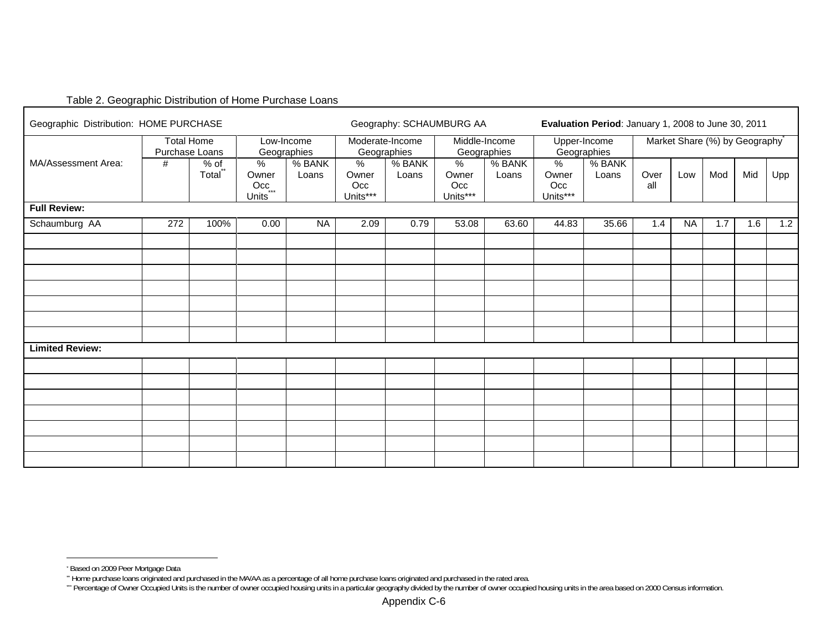#### Table 2. Geographic Distribution of Home Purchase Loans

| Geographic Distribution: HOME PURCHASE |     |                                     | Geography: SCHAUMBURG AA                                      |                 |                                           | Evaluation Period: January 1, 2008 to June 30, 2011 |                                           |                 |                                           |                             |             |           |                               |     |     |
|----------------------------------------|-----|-------------------------------------|---------------------------------------------------------------|-----------------|-------------------------------------------|-----------------------------------------------------|-------------------------------------------|-----------------|-------------------------------------------|-----------------------------|-------------|-----------|-------------------------------|-----|-----|
|                                        |     | <b>Total Home</b><br>Purchase Loans | Low-Income<br>Geographies                                     |                 | Moderate-Income<br>Geographies            |                                                     | Middle-Income<br>Geographies              |                 |                                           | Upper-Income<br>Geographies |             |           | Market Share (%) by Geography |     |     |
| MA/Assessment Area:                    | #   | $%$ of<br>Total <sup>**</sup>       | $\frac{9}{6}$<br>Owner<br>$Occ_{\dots}$<br>Units <sup>*</sup> | % BANK<br>Loans | $\frac{1}{2}$<br>Owner<br>Occ<br>Units*** | % BANK<br>Loans                                     | $\frac{9}{6}$<br>Owner<br>Occ<br>Units*** | % BANK<br>Loans | $\frac{9}{6}$<br>Owner<br>Occ<br>Units*** | % BANK<br>Loans             | Over<br>all | Low       | Mod                           | Mid | Upp |
| <b>Full Review:</b>                    |     |                                     |                                                               |                 |                                           |                                                     |                                           |                 |                                           |                             |             |           |                               |     |     |
| Schaumburg AA                          | 272 | 100%                                | 0.00                                                          | <b>NA</b>       | 2.09                                      | 0.79                                                | 53.08                                     | 63.60           | 44.83                                     | 35.66                       | 1.4         | <b>NA</b> | 1.7                           | 1.6 | 1.2 |
|                                        |     |                                     |                                                               |                 |                                           |                                                     |                                           |                 |                                           |                             |             |           |                               |     |     |
|                                        |     |                                     |                                                               |                 |                                           |                                                     |                                           |                 |                                           |                             |             |           |                               |     |     |
|                                        |     |                                     |                                                               |                 |                                           |                                                     |                                           |                 |                                           |                             |             |           |                               |     |     |
|                                        |     |                                     |                                                               |                 |                                           |                                                     |                                           |                 |                                           |                             |             |           |                               |     |     |
|                                        |     |                                     |                                                               |                 |                                           |                                                     |                                           |                 |                                           |                             |             |           |                               |     |     |
| <b>Limited Review:</b>                 |     |                                     |                                                               |                 |                                           |                                                     |                                           |                 |                                           |                             |             |           |                               |     |     |
|                                        |     |                                     |                                                               |                 |                                           |                                                     |                                           |                 |                                           |                             |             |           |                               |     |     |
|                                        |     |                                     |                                                               |                 |                                           |                                                     |                                           |                 |                                           |                             |             |           |                               |     |     |
|                                        |     |                                     |                                                               |                 |                                           |                                                     |                                           |                 |                                           |                             |             |           |                               |     |     |
|                                        |     |                                     |                                                               |                 |                                           |                                                     |                                           |                 |                                           |                             |             |           |                               |     |     |
|                                        |     |                                     |                                                               |                 |                                           |                                                     |                                           |                 |                                           |                             |             |           |                               |     |     |
|                                        |     |                                     |                                                               |                 |                                           |                                                     |                                           |                 |                                           |                             |             |           |                               |     |     |
|                                        |     |                                     |                                                               |                 |                                           |                                                     |                                           |                 |                                           |                             |             |           |                               |     |     |

<sup>\*</sup> Based on 2009 Peer Mortgage Data

<sup>\*\*</sup> Home purchase loans originated and purchased in the MA/AA as a percentage of all home purchase loans originated and purchased in the rated area.

<sup>\*\*</sup> Percentage of Owner Occupied Units is the number of owner occupied housing units in a particular geography divided by the number of owner occupied housing units in the area based on 2000 Census information.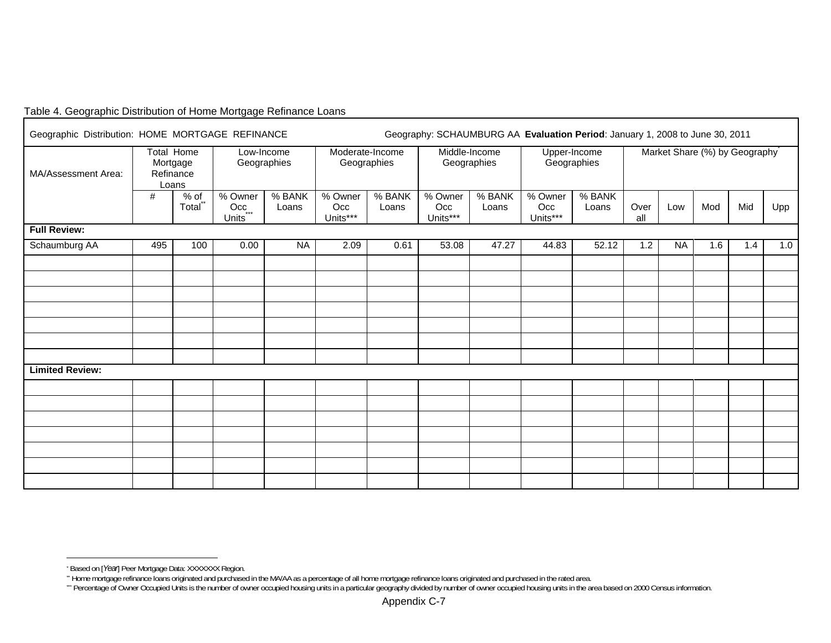|  | Table 4. Geographic Distribution of Home Mortgage Refinance Loans |  |  |
|--|-------------------------------------------------------------------|--|--|
|  |                                                                   |  |  |

| Geographic Distribution: HOME MORTGAGE REFINANCE |     |                                                     |                                                |                 |                                | Geography: SCHAUMBURG AA Evaluation Period: January 1, 2008 to June 30, 2011 |                              |                 |                             |                 |                               |           |     |     |     |
|--------------------------------------------------|-----|-----------------------------------------------------|------------------------------------------------|-----------------|--------------------------------|------------------------------------------------------------------------------|------------------------------|-----------------|-----------------------------|-----------------|-------------------------------|-----------|-----|-----|-----|
| MA/Assessment Area:                              |     | <b>Total Home</b><br>Mortgage<br>Refinance<br>Loans | Low-Income<br>Geographies                      |                 | Moderate-Income<br>Geographies |                                                                              | Middle-Income<br>Geographies |                 | Upper-Income<br>Geographies |                 | Market Share (%) by Geography |           |     |     |     |
|                                                  | #   | $%$ of<br>Total**                                   | % Owner<br>$Occ_{\dots}$<br>Units <sup>*</sup> | % BANK<br>Loans | % Owner<br>Occ<br>Units***     | % BANK<br>Loans                                                              | % Owner<br>Occ<br>Units***   | % BANK<br>Loans | % Owner<br>Occ<br>Units***  | % BANK<br>Loans | Over<br>all                   | Low       | Mod | Mid | Upp |
| <b>Full Review:</b>                              |     |                                                     |                                                |                 |                                |                                                                              |                              |                 |                             |                 |                               |           |     |     |     |
| Schaumburg AA                                    | 495 | 100                                                 | 0.00                                           | <b>NA</b>       | 2.09                           | 0.61                                                                         | 53.08                        | 47.27           | 44.83                       | 52.12           | 1.2                           | <b>NA</b> | 1.6 | 1.4 | 1.0 |
|                                                  |     |                                                     |                                                |                 |                                |                                                                              |                              |                 |                             |                 |                               |           |     |     |     |
|                                                  |     |                                                     |                                                |                 |                                |                                                                              |                              |                 |                             |                 |                               |           |     |     |     |
|                                                  |     |                                                     |                                                |                 |                                |                                                                              |                              |                 |                             |                 |                               |           |     |     |     |
|                                                  |     |                                                     |                                                |                 |                                |                                                                              |                              |                 |                             |                 |                               |           |     |     |     |
|                                                  |     |                                                     |                                                |                 |                                |                                                                              |                              |                 |                             |                 |                               |           |     |     |     |
|                                                  |     |                                                     |                                                |                 |                                |                                                                              |                              |                 |                             |                 |                               |           |     |     |     |
|                                                  |     |                                                     |                                                |                 |                                |                                                                              |                              |                 |                             |                 |                               |           |     |     |     |
| <b>Limited Review:</b>                           |     |                                                     |                                                |                 |                                |                                                                              |                              |                 |                             |                 |                               |           |     |     |     |
|                                                  |     |                                                     |                                                |                 |                                |                                                                              |                              |                 |                             |                 |                               |           |     |     |     |
|                                                  |     |                                                     |                                                |                 |                                |                                                                              |                              |                 |                             |                 |                               |           |     |     |     |
|                                                  |     |                                                     |                                                |                 |                                |                                                                              |                              |                 |                             |                 |                               |           |     |     |     |
|                                                  |     |                                                     |                                                |                 |                                |                                                                              |                              |                 |                             |                 |                               |           |     |     |     |
|                                                  |     |                                                     |                                                |                 |                                |                                                                              |                              |                 |                             |                 |                               |           |     |     |     |
|                                                  |     |                                                     |                                                |                 |                                |                                                                              |                              |                 |                             |                 |                               |           |     |     |     |
|                                                  |     |                                                     |                                                |                 |                                |                                                                              |                              |                 |                             |                 |                               |           |     |     |     |
|                                                  |     |                                                     |                                                |                 |                                |                                                                              |                              |                 |                             |                 |                               |           |     |     |     |

<sup>\*</sup> Based on [*Year*] Peer Mortgage Data: XXXXXXX Region.

<sup>\*\*</sup> Home mortgage refinance loans originated and purchased in the MA/AA as a percentage of all home mortgage refinance loans originated and purchased in the rated area.

<sup>\*\*</sup> Percentage of Owner Occupied Units is the number of owner occupied housing units in a particular geography divided by number of owner occupied housing units in the area based on 2000 Census information.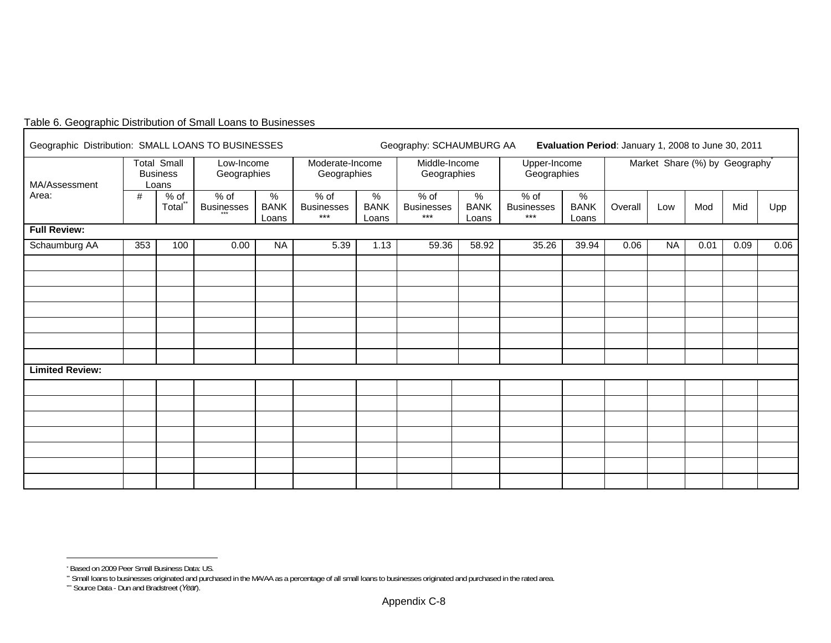| Geographic Distribution: SMALL LOANS TO BUSINESSES |     |                                                |                             |                           | Geography: SCHAUMBURG AA<br>Evaluation Period: January 1, 2008 to June 30, 2011 |                           |                                    |                           |                                    |                           |                               |           |      |      |      |
|----------------------------------------------------|-----|------------------------------------------------|-----------------------------|---------------------------|---------------------------------------------------------------------------------|---------------------------|------------------------------------|---------------------------|------------------------------------|---------------------------|-------------------------------|-----------|------|------|------|
| MA/Assessment                                      |     | <b>Total Small</b><br><b>Business</b><br>Loans | Low-Income<br>Geographies   |                           | Moderate-Income<br>Geographies                                                  |                           | Middle-Income<br>Geographies       |                           | Upper-Income<br>Geographies        |                           | Market Share (%) by Geography |           |      |      |      |
| Area:                                              | #   | $%$ of<br>Total                                | $%$ of<br><b>Businesses</b> | %<br><b>BANK</b><br>Loans | % of<br><b>Businesses</b><br>$***$                                              | %<br><b>BANK</b><br>Loans | % of<br><b>Businesses</b><br>$***$ | %<br><b>BANK</b><br>Loans | % of<br><b>Businesses</b><br>$***$ | %<br><b>BANK</b><br>Loans | Overall                       | Low       | Mod  | Mid  | Upp  |
| <b>Full Review:</b>                                |     |                                                |                             |                           |                                                                                 |                           |                                    |                           |                                    |                           |                               |           |      |      |      |
| Schaumburg AA                                      | 353 | 100                                            | 0.00                        | <b>NA</b>                 | 5.39                                                                            | 1.13                      | 59.36                              | 58.92                     | 35.26                              | 39.94                     | 0.06                          | <b>NA</b> | 0.01 | 0.09 | 0.06 |
|                                                    |     |                                                |                             |                           |                                                                                 |                           |                                    |                           |                                    |                           |                               |           |      |      |      |
|                                                    |     |                                                |                             |                           |                                                                                 |                           |                                    |                           |                                    |                           |                               |           |      |      |      |
|                                                    |     |                                                |                             |                           |                                                                                 |                           |                                    |                           |                                    |                           |                               |           |      |      |      |
|                                                    |     |                                                |                             |                           |                                                                                 |                           |                                    |                           |                                    |                           |                               |           |      |      |      |
|                                                    |     |                                                |                             |                           |                                                                                 |                           |                                    |                           |                                    |                           |                               |           |      |      |      |
| <b>Limited Review:</b>                             |     |                                                |                             |                           |                                                                                 |                           |                                    |                           |                                    |                           |                               |           |      |      |      |
|                                                    |     |                                                |                             |                           |                                                                                 |                           |                                    |                           |                                    |                           |                               |           |      |      |      |
|                                                    |     |                                                |                             |                           |                                                                                 |                           |                                    |                           |                                    |                           |                               |           |      |      |      |
|                                                    |     |                                                |                             |                           |                                                                                 |                           |                                    |                           |                                    |                           |                               |           |      |      |      |
|                                                    |     |                                                |                             |                           |                                                                                 |                           |                                    |                           |                                    |                           |                               |           |      |      |      |
|                                                    |     |                                                |                             |                           |                                                                                 |                           |                                    |                           |                                    |                           |                               |           |      |      |      |
|                                                    |     |                                                |                             |                           |                                                                                 |                           |                                    |                           |                                    |                           |                               |           |      |      |      |
|                                                    |     |                                                |                             |                           |                                                                                 |                           |                                    |                           |                                    |                           |                               |           |      |      |      |

# Table 6. Geographic Distribution of Small Loans to Businesses

<sup>\*</sup> Based on 2009 Peer Small Business Data: US.

\*\* Small loans to businesses originated and purchased in the MA/AA as a percentage of all small loans to businesses originated and purchased in the rated area.

<sup>\*\*</sup> Source Data - Dun and Bradstreet (*Year*).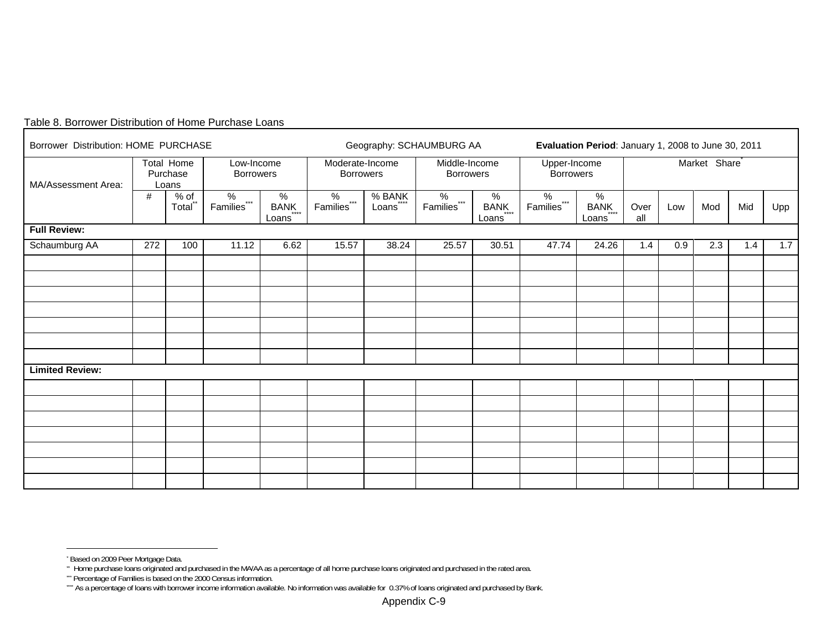| Borrower Distribution: HOME PURCHASE |     |                                      |                                        |                       |                                        | Geography: SCHAUMBURG AA       | Evaluation Period: January 1, 2008 to June 30, 2011 |                       |                                  |                    |                           |     |     |     |     |
|--------------------------------------|-----|--------------------------------------|----------------------------------------|-----------------------|----------------------------------------|--------------------------------|-----------------------------------------------------|-----------------------|----------------------------------|--------------------|---------------------------|-----|-----|-----|-----|
| MA/Assessment Area:                  |     | Total Home<br>Purchase<br>Loans      | Low-Income<br><b>Borrowers</b>         |                       | Moderate-Income<br><b>Borrowers</b>    |                                | Middle-Income<br><b>Borrowers</b>                   |                       | Upper-Income<br><b>Borrowers</b> |                    | Market Share <sup>®</sup> |     |     |     |     |
|                                      | #   | $\frac{\% \text{ of}}{\text{Total}}$ | $\%$<br>$***$<br>Families <sup>*</sup> | $\%$<br>BANK<br>Loans | $\%$<br>$***$<br>Families <sup>*</sup> | $%$ BANK<br>Loans <sup>®</sup> | %<br>Families<br>$***$                              | $\%$<br>BANK<br>Loans | $\%$<br>Families***              | %<br>BANK<br>Loans | Over<br>all               | Low | Mod | Mid | Upp |
| <b>Full Review:</b>                  |     |                                      |                                        |                       |                                        |                                |                                                     |                       |                                  |                    |                           |     |     |     |     |
| Schaumburg AA                        | 272 | 100                                  | 11.12                                  | 6.62                  | 15.57                                  | 38.24                          | 25.57                                               | 30.51                 | 47.74                            | 24.26              | 1.4                       | 0.9 | 2.3 | 1.4 | 1.7 |
|                                      |     |                                      |                                        |                       |                                        |                                |                                                     |                       |                                  |                    |                           |     |     |     |     |
|                                      |     |                                      |                                        |                       |                                        |                                |                                                     |                       |                                  |                    |                           |     |     |     |     |
|                                      |     |                                      |                                        |                       |                                        |                                |                                                     |                       |                                  |                    |                           |     |     |     |     |
|                                      |     |                                      |                                        |                       |                                        |                                |                                                     |                       |                                  |                    |                           |     |     |     |     |
|                                      |     |                                      |                                        |                       |                                        |                                |                                                     |                       |                                  |                    |                           |     |     |     |     |
|                                      |     |                                      |                                        |                       |                                        |                                |                                                     |                       |                                  |                    |                           |     |     |     |     |
|                                      |     |                                      |                                        |                       |                                        |                                |                                                     |                       |                                  |                    |                           |     |     |     |     |
| <b>Limited Review:</b>               |     |                                      |                                        |                       |                                        |                                |                                                     |                       |                                  |                    |                           |     |     |     |     |
|                                      |     |                                      |                                        |                       |                                        |                                |                                                     |                       |                                  |                    |                           |     |     |     |     |
|                                      |     |                                      |                                        |                       |                                        |                                |                                                     |                       |                                  |                    |                           |     |     |     |     |
|                                      |     |                                      |                                        |                       |                                        |                                |                                                     |                       |                                  |                    |                           |     |     |     |     |
|                                      |     |                                      |                                        |                       |                                        |                                |                                                     |                       |                                  |                    |                           |     |     |     |     |
|                                      |     |                                      |                                        |                       |                                        |                                |                                                     |                       |                                  |                    |                           |     |     |     |     |
|                                      |     |                                      |                                        |                       |                                        |                                |                                                     |                       |                                  |                    |                           |     |     |     |     |
|                                      |     |                                      |                                        |                       |                                        |                                |                                                     |                       |                                  |                    |                           |     |     |     |     |

#### Table 8. Borrower Distribution of Home Purchase Loans

<sup>\*</sup> Based on 2009 Peer Mortgage Data.

<sup>\*\*</sup> Home purchase loans originated and purchased in the MA/AA as a percentage of all home purchase loans originated and purchased in the rated area.

<sup>\*\*\*</sup> Percentage of Families is based on the 2000 Census information.

<sup>\*\*\*</sup> As a percentage of loans with borrower income information available. No information was available for 0.37% of loans originated and purchased by Bank.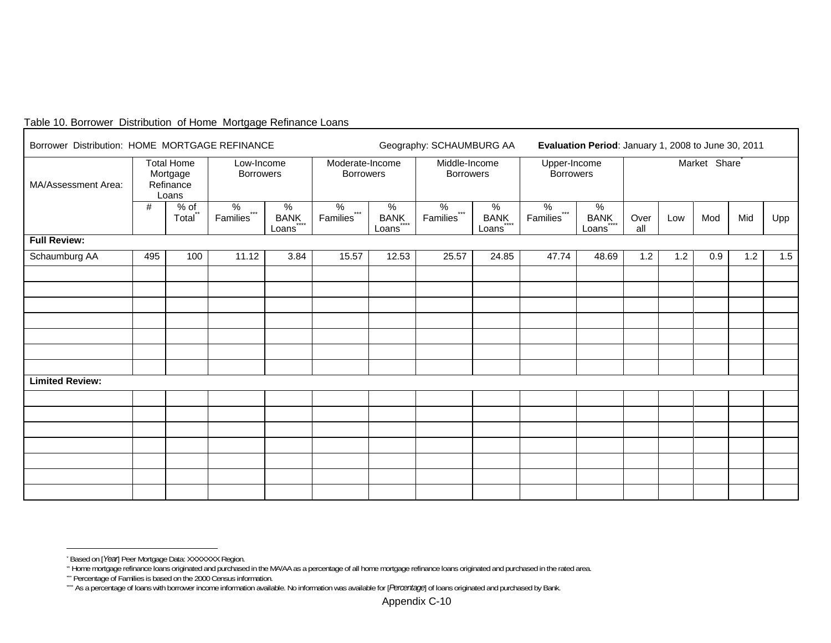# Table 10. Borrower Distribution of Home Mortgage Refinance Loans

| Borrower Distribution: HOME MORTGAGE REFINANCE                             |     |                 | Geography: SCHAUMBURG AA               |                           |                                     | Evaluation Period: January 1, 2008 to June 30, 2011 |                                   |                              |                                  |                    |                           |     |     |     |     |
|----------------------------------------------------------------------------|-----|-----------------|----------------------------------------|---------------------------|-------------------------------------|-----------------------------------------------------|-----------------------------------|------------------------------|----------------------------------|--------------------|---------------------------|-----|-----|-----|-----|
| <b>Total Home</b><br>Mortgage<br>MA/Assessment Area:<br>Refinance<br>Loans |     |                 | Low-Income<br><b>Borrowers</b>         |                           | Moderate-Income<br><b>Borrowers</b> |                                                     | Middle-Income<br><b>Borrowers</b> |                              | Upper-Income<br><b>Borrowers</b> |                    | Market Share <sup>®</sup> |     |     |     |     |
|                                                                            | #   | $%$ of<br>Total | $\%$<br>$***$<br>Families <sup>®</sup> | %<br><b>BANK</b><br>Loans | %<br>Families***                    | $\%$<br><b>BANK</b><br>Loans                        | $\%$<br>Families***               | $\%$<br><b>BANK</b><br>Loans | $\%$<br>Families***              | %<br>BANK<br>Loans | Over<br>all               | Low | Mod | Mid | Upp |
| <b>Full Review:</b>                                                        |     |                 |                                        |                           |                                     |                                                     |                                   |                              |                                  |                    |                           |     |     |     |     |
| Schaumburg AA                                                              | 495 | 100             | 11.12                                  | 3.84                      | 15.57                               | 12.53                                               | 25.57                             | 24.85                        | 47.74                            | 48.69              | 1.2                       | 1.2 | 0.9 | 1.2 | 1.5 |
|                                                                            |     |                 |                                        |                           |                                     |                                                     |                                   |                              |                                  |                    |                           |     |     |     |     |
|                                                                            |     |                 |                                        |                           |                                     |                                                     |                                   |                              |                                  |                    |                           |     |     |     |     |
|                                                                            |     |                 |                                        |                           |                                     |                                                     |                                   |                              |                                  |                    |                           |     |     |     |     |
|                                                                            |     |                 |                                        |                           |                                     |                                                     |                                   |                              |                                  |                    |                           |     |     |     |     |
|                                                                            |     |                 |                                        |                           |                                     |                                                     |                                   |                              |                                  |                    |                           |     |     |     |     |
|                                                                            |     |                 |                                        |                           |                                     |                                                     |                                   |                              |                                  |                    |                           |     |     |     |     |
| <b>Limited Review:</b>                                                     |     |                 |                                        |                           |                                     |                                                     |                                   |                              |                                  |                    |                           |     |     |     |     |
|                                                                            |     |                 |                                        |                           |                                     |                                                     |                                   |                              |                                  |                    |                           |     |     |     |     |
|                                                                            |     |                 |                                        |                           |                                     |                                                     |                                   |                              |                                  |                    |                           |     |     |     |     |
|                                                                            |     |                 |                                        |                           |                                     |                                                     |                                   |                              |                                  |                    |                           |     |     |     |     |
|                                                                            |     |                 |                                        |                           |                                     |                                                     |                                   |                              |                                  |                    |                           |     |     |     |     |
|                                                                            |     |                 |                                        |                           |                                     |                                                     |                                   |                              |                                  |                    |                           |     |     |     |     |
|                                                                            |     |                 |                                        |                           |                                     |                                                     |                                   |                              |                                  |                    |                           |     |     |     |     |
|                                                                            |     |                 |                                        |                           |                                     |                                                     |                                   |                              |                                  |                    |                           |     |     |     |     |

<sup>\*</sup> Based on [*Year*] Peer Mortgage Data: XXXXXXX Region.

<sup>\*\*</sup> Home mortgage refinance loans originated and purchased in the MA/AA as a percentage of all home mortgage refinance loans originated and purchased in the rated area.

<sup>\*\*\*</sup> Percentage of Families is based on the 2000 Census information.

<sup>\*\*\*\*</sup> As a percentage of loans with borrower income information available. No information was available for [*Percentage*] of loans originated and purchased by Bank.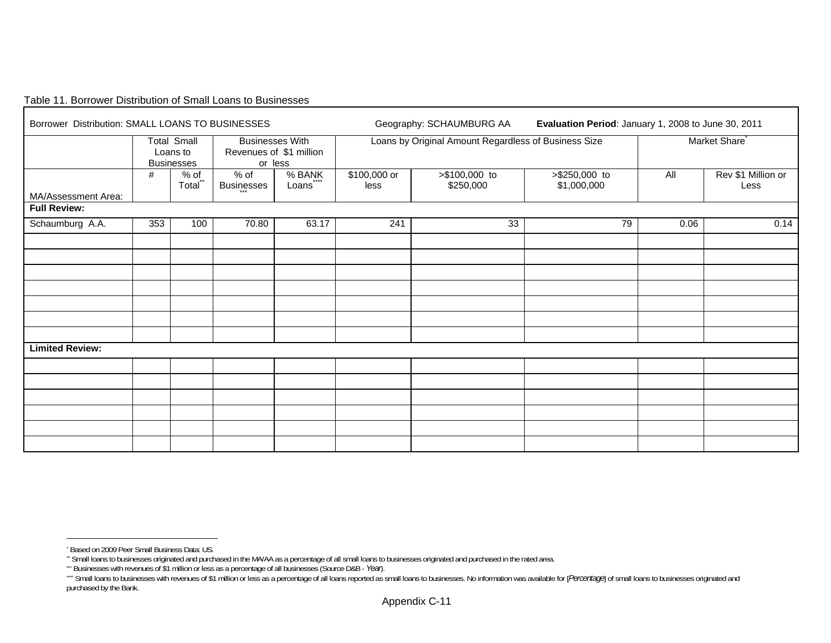#### Table 11. Borrower Distribution of Small Loans to Businesses  $\Gamma$

| Borrower Distribution: SMALL LOANS TO BUSINESSES |     |                                                     |                             |                                                              |                      | Geography: SCHAUMBURG AA                             | Evaluation Period: January 1, 2008 to June 30, 2011 |                           |                            |  |  |  |  |
|--------------------------------------------------|-----|-----------------------------------------------------|-----------------------------|--------------------------------------------------------------|----------------------|------------------------------------------------------|-----------------------------------------------------|---------------------------|----------------------------|--|--|--|--|
|                                                  |     | <b>Total Small</b><br>Loans to<br><b>Businesses</b> |                             | <b>Businesses With</b><br>Revenues of \$1 million<br>or less |                      | Loans by Original Amount Regardless of Business Size |                                                     | Market Share <sup>®</sup> |                            |  |  |  |  |
| MA/Assessment Area:                              | #   | % of<br>Total*                                      | $%$ of<br><b>Businesses</b> | % BANK<br>$***$<br>Loans <sup>"</sup>                        | \$100,000 or<br>less | >\$100,000 to<br>\$250,000                           | >\$250,000 to<br>\$1,000,000                        | All                       | Rev \$1 Million or<br>Less |  |  |  |  |
| <b>Full Review:</b>                              |     |                                                     |                             |                                                              |                      |                                                      |                                                     |                           |                            |  |  |  |  |
| Schaumburg A.A.                                  | 353 | 100                                                 | 70.80                       | 63.17                                                        | 241                  | 33                                                   | 79                                                  | 0.06                      | 0.14                       |  |  |  |  |
|                                                  |     |                                                     |                             |                                                              |                      |                                                      |                                                     |                           |                            |  |  |  |  |
|                                                  |     |                                                     |                             |                                                              |                      |                                                      |                                                     |                           |                            |  |  |  |  |
|                                                  |     |                                                     |                             |                                                              |                      |                                                      |                                                     |                           |                            |  |  |  |  |
|                                                  |     |                                                     |                             |                                                              |                      |                                                      |                                                     |                           |                            |  |  |  |  |
|                                                  |     |                                                     |                             |                                                              |                      |                                                      |                                                     |                           |                            |  |  |  |  |
|                                                  |     |                                                     |                             |                                                              |                      |                                                      |                                                     |                           |                            |  |  |  |  |
|                                                  |     |                                                     |                             |                                                              |                      |                                                      |                                                     |                           |                            |  |  |  |  |
| <b>Limited Review:</b>                           |     |                                                     |                             |                                                              |                      |                                                      |                                                     |                           |                            |  |  |  |  |
|                                                  |     |                                                     |                             |                                                              |                      |                                                      |                                                     |                           |                            |  |  |  |  |
|                                                  |     |                                                     |                             |                                                              |                      |                                                      |                                                     |                           |                            |  |  |  |  |
|                                                  |     |                                                     |                             |                                                              |                      |                                                      |                                                     |                           |                            |  |  |  |  |
|                                                  |     |                                                     |                             |                                                              |                      |                                                      |                                                     |                           |                            |  |  |  |  |
|                                                  |     |                                                     |                             |                                                              |                      |                                                      |                                                     |                           |                            |  |  |  |  |
|                                                  |     |                                                     |                             |                                                              |                      |                                                      |                                                     |                           |                            |  |  |  |  |

<sup>\*</sup> Based on 2009 Peer Small Business Data: US.

\*\* Small loans to businesses originated and purchased in the MA/AA as a percentage of all small loans to businesses originated and purchased in the rated area.

<sup>\*\*\*</sup> Businesses with revenues of \$1 million or less as a percentage of all businesses (Source D&B - *Year*).

<sup>&</sup>quot;" Small loans to businesses with revenues of \$1 million or less as a percentage of all loans reported as small loans to businesses. No information was available for [Percentage] of small loans to businesses originated and purchased by the Bank.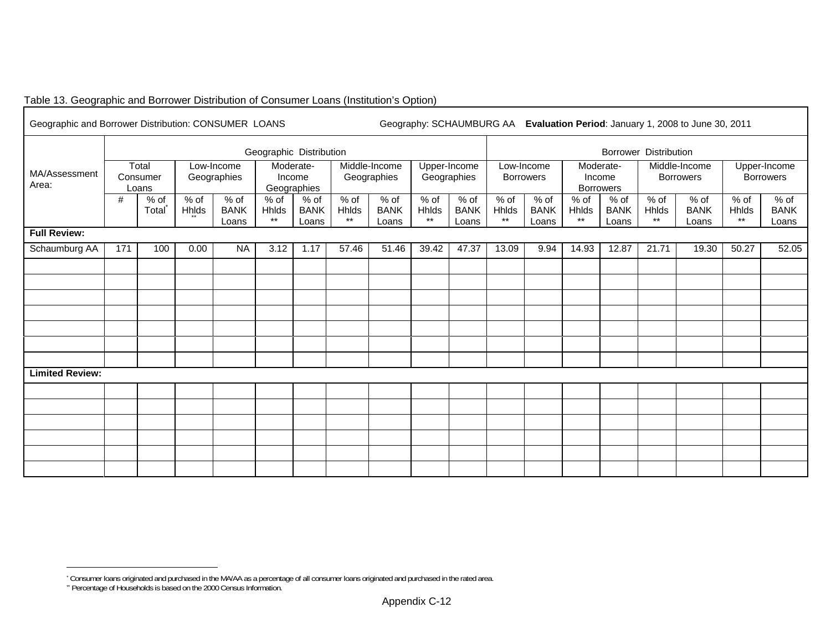# Table 13. Geographic and Borrower Distribution of Consumer Loans (Institution's Option)

| Geographic and Borrower Distribution: CONSUMER LOANS |     |                            |                      |                                | Geography: SCHAUMBURG AA Evaluation Period: January 1, 2008 to June 30, 2011 |                                    |                          |                              |                        |                              |                               |                                |                          |                                         |                                   |                              |                                  |                                |  |
|------------------------------------------------------|-----|----------------------------|----------------------|--------------------------------|------------------------------------------------------------------------------|------------------------------------|--------------------------|------------------------------|------------------------|------------------------------|-------------------------------|--------------------------------|--------------------------|-----------------------------------------|-----------------------------------|------------------------------|----------------------------------|--------------------------------|--|
|                                                      |     |                            |                      |                                | Geographic Distribution                                                      |                                    |                          |                              |                        |                              | <b>Borrower Distribution</b>  |                                |                          |                                         |                                   |                              |                                  |                                |  |
| MA/Assessment<br>Area:                               |     | Total<br>Consumer<br>Loans |                      | Low-Income<br>Geographies      |                                                                              | Moderate-<br>Income<br>Geographies |                          | Middle-Income<br>Geographies |                        | Upper-Income<br>Geographies  |                               | Low-Income<br><b>Borrowers</b> |                          | Moderate-<br>Income<br><b>Borrowers</b> | Middle-Income<br><b>Borrowers</b> |                              | Upper-Income<br><b>Borrowers</b> |                                |  |
|                                                      | #   | $%$ of<br>Total            | % of<br><b>Hhids</b> | $%$ of<br><b>BANK</b><br>Loans | $%$ of<br>Hhlds<br>$\star\star$                                              | % of<br><b>BANK</b><br>Loans       | $%$ of<br>Hhlds<br>$***$ | % of<br><b>BANK</b><br>Loans | % of<br>Hhlds<br>$***$ | % of<br><b>BANK</b><br>Loans | % of<br>Hhlds<br>$\star\star$ | $%$ of<br><b>BANK</b><br>Loans | $%$ of<br>Hhlds<br>$***$ | % of<br><b>BANK</b><br>Loans            | $%$ of<br><b>Hhlds</b><br>$***$   | % of<br><b>BANK</b><br>Loans | % of<br>Hhlds<br>$\star\star$    | $%$ of<br><b>BANK</b><br>Loans |  |
| <b>Full Review:</b>                                  |     |                            |                      |                                |                                                                              |                                    |                          |                              |                        |                              |                               |                                |                          |                                         |                                   |                              |                                  |                                |  |
| Schaumburg AA                                        | 171 | 100                        | 0.00                 | <b>NA</b>                      | 3.12                                                                         | 1.17                               | 57.46                    | 51.46                        | 39.42                  | 47.37                        | 13.09                         | 9.94                           | 14.93                    | 12.87                                   | 21.71                             | 19.30                        | 50.27                            | 52.05                          |  |
|                                                      |     |                            |                      |                                |                                                                              |                                    |                          |                              |                        |                              |                               |                                |                          |                                         |                                   |                              |                                  |                                |  |
|                                                      |     |                            |                      |                                |                                                                              |                                    |                          |                              |                        |                              |                               |                                |                          |                                         |                                   |                              |                                  |                                |  |
|                                                      |     |                            |                      |                                |                                                                              |                                    |                          |                              |                        |                              |                               |                                |                          |                                         |                                   |                              |                                  |                                |  |
|                                                      |     |                            |                      |                                |                                                                              |                                    |                          |                              |                        |                              |                               |                                |                          |                                         |                                   |                              |                                  |                                |  |
|                                                      |     |                            |                      |                                |                                                                              |                                    |                          |                              |                        |                              |                               |                                |                          |                                         |                                   |                              |                                  |                                |  |
|                                                      |     |                            |                      |                                |                                                                              |                                    |                          |                              |                        |                              |                               |                                |                          |                                         |                                   |                              |                                  |                                |  |
|                                                      |     |                            |                      |                                |                                                                              |                                    |                          |                              |                        |                              |                               |                                |                          |                                         |                                   |                              |                                  |                                |  |
| <b>Limited Review:</b>                               |     |                            |                      |                                |                                                                              |                                    |                          |                              |                        |                              |                               |                                |                          |                                         |                                   |                              |                                  |                                |  |
|                                                      |     |                            |                      |                                |                                                                              |                                    |                          |                              |                        |                              |                               |                                |                          |                                         |                                   |                              |                                  |                                |  |
|                                                      |     |                            |                      |                                |                                                                              |                                    |                          |                              |                        |                              |                               |                                |                          |                                         |                                   |                              |                                  |                                |  |
|                                                      |     |                            |                      |                                |                                                                              |                                    |                          |                              |                        |                              |                               |                                |                          |                                         |                                   |                              |                                  |                                |  |
|                                                      |     |                            |                      |                                |                                                                              |                                    |                          |                              |                        |                              |                               |                                |                          |                                         |                                   |                              |                                  |                                |  |
|                                                      |     |                            |                      |                                |                                                                              |                                    |                          |                              |                        |                              |                               |                                |                          |                                         |                                   |                              |                                  |                                |  |
|                                                      |     |                            |                      |                                |                                                                              |                                    |                          |                              |                        |                              |                               |                                |                          |                                         |                                   |                              |                                  |                                |  |

<sup>\*</sup> Consumer loans originated and purchased in the MA/AA as a percentage of all consumer loans originated and purchased in the rated area.

<sup>&</sup>quot; Percentage of Households is based on the 2000 Census Information.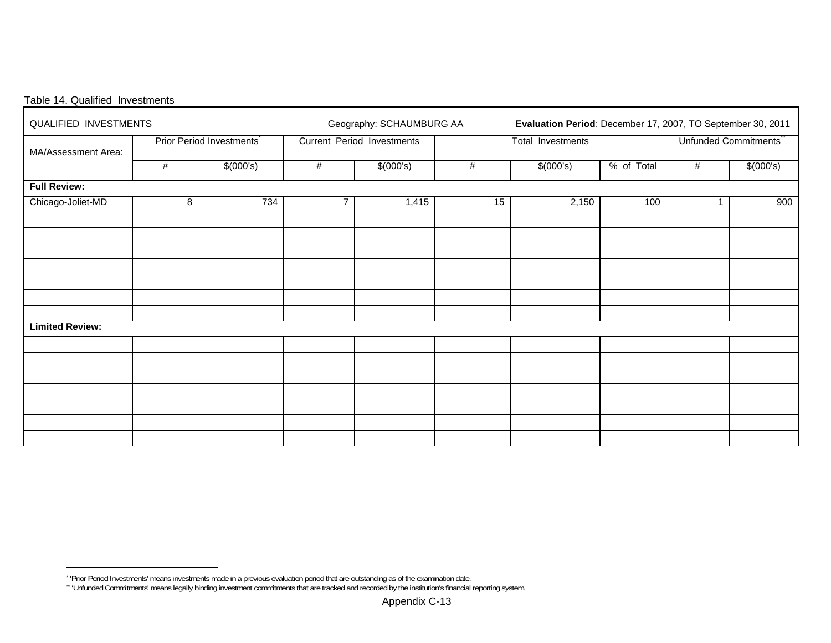| Table 14. Qualified Investments |  |
|---------------------------------|--|
|---------------------------------|--|

| QUALIFIED INVESTMENTS  |   |                          |                | Geography: SCHAUMBURG AA   |      | Evaluation Period: December 17, 2007, TO September 30, 2011 |                                   |   |           |  |  |  |  |
|------------------------|---|--------------------------|----------------|----------------------------|------|-------------------------------------------------------------|-----------------------------------|---|-----------|--|--|--|--|
| MA/Assessment Area:    |   | Prior Period Investments |                | Current Period Investments |      | Total Investments                                           | Unfunded Commitments <sup>®</sup> |   |           |  |  |  |  |
|                        | # | \$(000's)                | $\#$           | \$(000's)                  | $\#$ | \$(000's)                                                   | % of Total                        | # | \$(000's) |  |  |  |  |
| <b>Full Review:</b>    |   |                          |                |                            |      |                                                             |                                   |   |           |  |  |  |  |
| Chicago-Joliet-MD      | 8 | 734                      | $\overline{7}$ | 1,415                      | 15   | 2,150                                                       | 100                               | 1 | 900       |  |  |  |  |
|                        |   |                          |                |                            |      |                                                             |                                   |   |           |  |  |  |  |
|                        |   |                          |                |                            |      |                                                             |                                   |   |           |  |  |  |  |
|                        |   |                          |                |                            |      |                                                             |                                   |   |           |  |  |  |  |
|                        |   |                          |                |                            |      |                                                             |                                   |   |           |  |  |  |  |
|                        |   |                          |                |                            |      |                                                             |                                   |   |           |  |  |  |  |
|                        |   |                          |                |                            |      |                                                             |                                   |   |           |  |  |  |  |
| <b>Limited Review:</b> |   |                          |                |                            |      |                                                             |                                   |   |           |  |  |  |  |
|                        |   |                          |                |                            |      |                                                             |                                   |   |           |  |  |  |  |
|                        |   |                          |                |                            |      |                                                             |                                   |   |           |  |  |  |  |
|                        |   |                          |                |                            |      |                                                             |                                   |   |           |  |  |  |  |
|                        |   |                          |                |                            |      |                                                             |                                   |   |           |  |  |  |  |
|                        |   |                          |                |                            |      |                                                             |                                   |   |           |  |  |  |  |
|                        |   |                          |                |                            |      |                                                             |                                   |   |           |  |  |  |  |
|                        |   |                          |                |                            |      |                                                             |                                   |   |           |  |  |  |  |

<sup>\* &#</sup>x27;Prior Period Investments' means investments made in a previous evaluation period that are outstanding as of the examination date.

<sup>\*\* &#</sup>x27;Unfunded Commitments' means legally binding investment commitments that are tracked and recorded by the institution's financial reporting system.